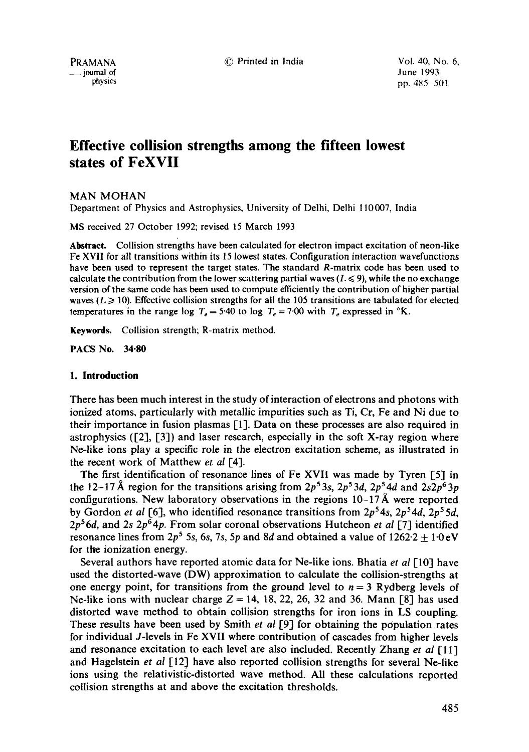© Printed in India Vol. 40, No. 6,

# **Effective collision strengths among the fifteen lowest states of FeXVII**

MAN MOHAN

Department of Physics and Astrophysics, University of Delhi, Delhi ! 10007, India

MS received 27 October 1992; revised 15 March 1993

Abstract. Collision strengths have been calculated for electron impact excitation of neon-like Fe XVII for all transitions within its 15 lowest states. Configuration interaction wavefunctions have been used to represent the target states. The standard R-matrix code has been used to calculate the contribution from the lower scattering partial waves ( $L \le 9$ ), while the no exchange version of the same code has been used to compute efficiently the contribution of higher partial waves ( $L \ge 10$ ). Effective collision strengths for all the 105 transitions are tabulated for elected temperatures in the range log  $T_e = 5.40$  to log  $T_e = 7.00$  with  $T_e$  expressed in  ${}^{\circ}\text{K}$ .

Keywards. Collision strength; R-matrix method.

**PACS No. 34"80** 

# **1. Introduction**

There has been much interest in the study of interaction of electrons and photons with ionized atoms, particularly with metallic impurities such as Ti, Cr, Fe and Ni due to their importance in fusion plasmas [1]. Data on these processes are also required in astrophysics  $(2, 3)$  and laser research, especially in the soft X-ray region where Ne-like ions play a specific role in the electron excitation scheme, as illustrated in the recent work of Matthew *et al* [4].

The first identification of resonance lines of Fe XVII was made by Tyren [5] in the 12-17 Å region for the transitions arising from  $2p^53s$ ,  $2p^53d$ ,  $2p^54d$  and  $2s2p^63p$ configurations. New laboratory observations in the regions  $10-17 \text{ Å}$  were reported by Gordon *et al* [6], who identified resonance transitions from  $2p^54s$ ,  $2p^54d$ ,  $2p^55d$ , *2p56d,* and 2s 2p64p. From solar coronal observations Hutcheon *et al* [7] identified resonance lines from  $2p^5$  5s, 6s, 7s, 5p and 8d and obtained a value of  $1262.2 \pm 1.0 \text{ eV}$ for the ionization energy.

Several authors have reported atomic data for Ne-like ions. Bhatia *et al* [10] have used the distorted-wave (DW) approximation to calculate the collision-strengths at one energy point, for transitions from the ground level to  $n = 3$  Rydberg levels of Ne-like ions with nuclear charge  $Z = 14$ , 18, 22, 26, 32 and 36. Mann [8] has used distorted wave method to obtain collision strengths for iron ions in LS coupling. These results have been used by Smith *et ai* [9] for obtaining the population rates for individual J-levels in Fe XVII where contribution of cascades from higher levels and resonance excitation to each level are also included. Recently Zhang *et al* [11] and Hagelstein *et al* [12] have also reported collision strengths for several Ne-like ions using the relativistic-distorted wave method. All these calculations reported collision strengths at and above the excitation thresholds.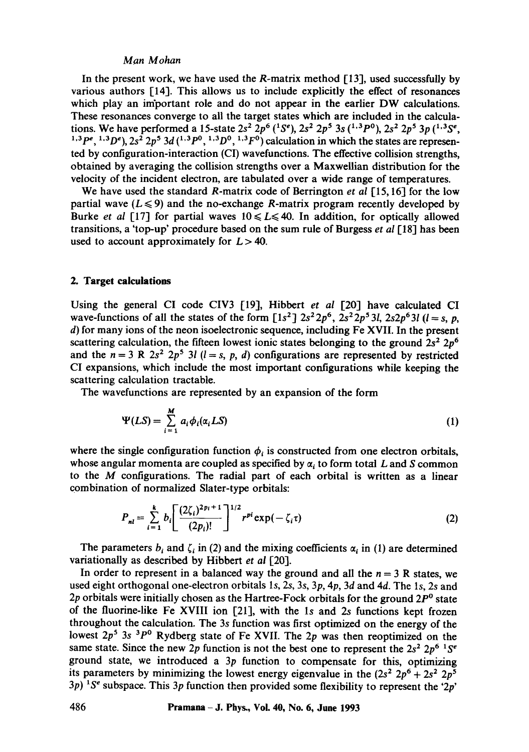## *Man Mohan*

In the present work, we have used the R-matrix method  $[13]$ , used successfully by various authors  $\lceil 14 \rceil$ . This allows us to include explicitly the effect of resonances which play an important role and do not appear in the earlier DW calculations. These resonances converge to all the target states which are included in the calculations. We have performed a 15-state  $2s^2$   $2p^6$  ( ${}^{1}S^e$ ),  $2s^2$   $2p^5$  3s ( ${}^{1,3}P^0$ ),  $2s^2$   $2p^5$  3p ( ${}^{1,3}S^e$ , <sup>1,3</sup>  $P^e$ , <sup>1,3</sup> $D^e$ ),  $2s^2$   $2p^5$   $3d$  (<sup>1,3</sup> $P^0$ , <sup>1,3</sup> $D^0$ , <sup>1,3</sup> $F^0$ ) calculation in which the states are represented by configuration-interaction (CI) wavefunctions. The effective collision strengths, obtained by averaging the collision strengths over a Maxwellian distribution for the velocity of the incident electron, are tabulated over a wide range of temperatures.

We have used the standard R-matrix code of Berrington *et al* [15,16] for the low partial wave ( $L \le 9$ ) and the no-exchange R-matrix program recently developed by Burke *et al* [17] for partial waves  $10 \le L \le 40$ . In addition, for optically allowed transitions, a 'top-up' procedure based on the sum rule of Burgess *et al* 1-18] has been used to account approximately for  $L > 40$ .

#### **2. Target calculations**

Using the general CI code CIV3 [19], Hibbert *et al* [20] have calculated CI wave-functions of all the states of the form  $[1s^2]$   $2s^22p^6$ ,  $2s^22p^53l$ ,  $2s2p^63l$  ( $l = s$ , p, d) for many ions of the neon isoelectronic sequence, including Fe XVII. In the present scattering calculation, the fifteen lowest ionic states belonging to the ground  $2s^2 2p^6$ and the  $n = 3$  R  $2s^2$   $2p^5$  3*l* ( $l = s, p, d$ ) configurations are represented by restricted CI expansions, which include the most important configurations while keeping the scattering calculation tractable.

The wavefunctions are represented by an expansion of the form

$$
\Psi(LS) = \sum_{i=1}^{M} a_i \phi_i(\alpha_i LS)
$$
 (1)

where the single configuration function  $\phi_i$  is constructed from one electron orbitals, whose angular momenta are coupled as specified by  $\alpha_i$  to form total L and S common to the M configurations. The radial part of each orbital is written as a linear combination of normalized Slater-type orbitals:

$$
P_{nl} = \sum_{i=1}^{k} b_i \left[ \frac{(2\zeta_i)^{2p_i+1}}{(2p_i)!} \right]^{1/2} r^{pl} \exp(-\zeta_i \tau)
$$
 (2)

The parameters  $b_i$  and  $\zeta_i$  in (2) and the mixing coefficients  $\alpha_i$  in (1) are determined variationally as described by Hibbert *et al* [20].

In order to represent in a balanced way the ground and all the  $n = 3$  R states, we used eight orthogonal one-electron orbitals Is, 2s, 3s, 3p, 4p, 3d and 4d. The ls, 2s and 2p orbitals were initially chosen as the Hartree-Fock orbitals for the ground  $2P^{\circ}$  state of the fluorine-like Fe XVIII ion  $[21]$ , with the 1s and 2s functions kept frozen throughout the calculation. The 3s function was first optimized on the energy of the lowest  $2p^5$  3s  $3p^0$  Rydberg state of Fe XVII. The 2p was then reoptimized on the same state. Since the new 2p function is not the best one to represent the  $2s^2 2p^6 1S^e$ ground state, we introduced a  $3p$  function to compensate for this, optimizing its parameters by minimizing the lowest energy eigenvalue in the  $(2s^2 2p^6 + 2s^2 2p^5)$ 3p) <sup>1</sup>S<sup>e</sup> subspace. This 3p function then provided some flexibility to represent the '2p'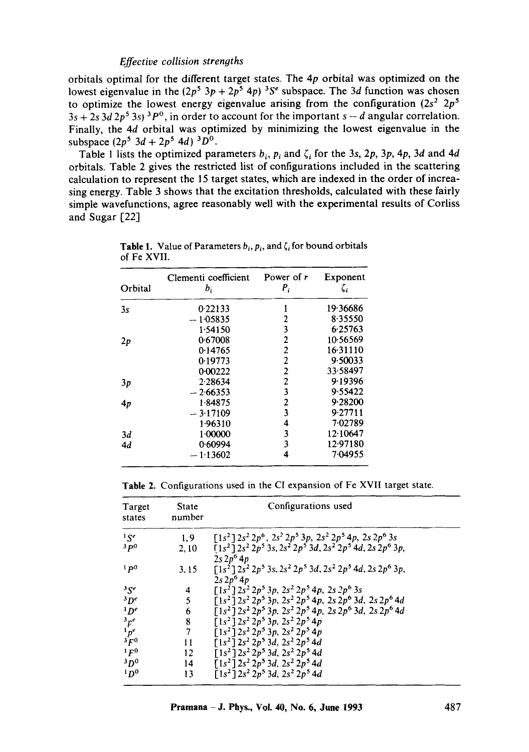orbitals optimal for the different target states. The 4p orbital was optimized on the lowest eigenvalue in the  $(2p^5 3p + 2p^5 4p)^{3}S^e$  subspace. The 3d function was chosen to optimize the lowest energy eigenvalue arising from the configuration  $(2s^2 2p^5)$  $3s + 2s$  3d  $2p^5$  3s) <sup>3</sup>P<sup>o</sup>, in order to account for the important s - d angular correlation. Finally, the 4d orbital was optimized by minimizing the lowest eigenvalue in the subspace  $(2p^5 \ 3d + 2p^5 \ 4d)^3 D^0$ .

Table 1 lists the optimized parameters  $b_i$ ,  $p_i$  and  $\zeta_i$  for the 3s, 2p, 3p, 4p, 3d and 4d orbitals. Table 2 gives the restricted list of configurations included in the scattering calculation to represent the 15 target states, which are indexed in the order of increasing energy. Table 3 shows that the excitation thresholds, calculated with these fairly simple wavefunctions, agree reasonably well with the experimental results of Corliss and Sugar [22]

| Orbital | Clementi coefficient<br>$b_i$ | Power of r<br>$P_i$     | Exponent<br>$\zeta_i$ |
|---------|-------------------------------|-------------------------|-----------------------|
| 3s      | 0.22133                       | 1                       | 19.36686              |
|         | 1.05835                       | 2                       | 8.35550               |
|         | 1.54150                       | 3                       | 6.25763               |
| 2p      | 0.67008                       | $\overline{2}$          | 10.56569              |
|         | 0.14765                       | $\overline{2}$          | 16.31110              |
|         | 0.19773                       | $\overline{c}$          | 9.50033               |
|         | 0.00222                       | $\overline{2}$          | 33.58497              |
| 3p      | 2.28634                       | $\overline{\mathbf{c}}$ | 9.19396               |
|         | $-2.66353$                    | 3                       | 9.55422               |
| 4p      | 1.84875                       | $\overline{2}$          | 9.28200               |
|         | $-3.17109$                    | 3                       | 9.27711               |
|         | 1.96310                       | 4                       | 7.02789               |
| 3d      | 1.00000                       | 3                       | 12.10647              |
| 4d      | 0.60994                       | 3                       | 12.97180              |
|         | $-1.13602$                    | 4                       | 7.04955               |

**Table 1.** Value of Parameters  $b_i$ ,  $p_i$ , and  $\zeta_i$  for bound orbitals of Fe XVII.

|  | Table 2. Configurations used in the CI expansion of Fe XVII target state. |  |  |  |  |  |  |  |
|--|---------------------------------------------------------------------------|--|--|--|--|--|--|--|
|--|---------------------------------------------------------------------------|--|--|--|--|--|--|--|

| Target<br>states | State<br>number | Configurations used                                                                                   |
|------------------|-----------------|-------------------------------------------------------------------------------------------------------|
| 1S <sup>e</sup>  | 1.9             | $[1s^2]$ $2s^2$ $2p^6$ , $2s^2$ $2p^5$ $3p$ , $2s^2$ $2p^5$ $4p$ , $2s$ $2p^6$ $3s$                   |
| 3p0              | 2.10            | $\overline{1}1s^2\overline{1}2s^22p^53s$ , $2s^22p^53d$ , $2s^22p^54d$ , $2s2p^63p$ ,<br>$2s 2p^6 4p$ |
| 1p0              | 3.15            | $[1s2] 2s2 2p5 3s, 2s2 2p5 3d, 2s2 2p5 4d, 2s 2p6 3p,$<br>$2s\,2p^6\,4p$                              |
| 35e              | 4               | $\lceil 1s^2 \rceil 2s^2 2p^5 3p$ , $2s^2 2p^5 4p$ , $2s 2p^6 3s$                                     |
| $^3D^e$          | 5               | $\overline{1}1s^2\overline{1}2s^22p^53p$ , $2s^22p^54p$ , $2s2p^63d$ , $2s2p^64d$                     |
| D <sup>e</sup>   | 6               | $\lceil 1s^2 \rceil 2s^2 2p^5 3p$ , $2s^2 2p^5 4p$ , $2s 2p^6 3d$ , $2s 2p^6 4d$                      |
| ${}^3F^e$        | $8\,$           | $\overline{1}1s^2\overline{1}2s^2\overline{2}p^5\overline{3}p$ , $2s^2\overline{2}p^5\overline{4}p$   |
| $1p^e$           | 7               | $\overline{1}1s^2\overline{1}2s^2\overline{2}p^5\overline{3}p$ , $2s^2\overline{2}p^5\overline{4}p$   |
| ${}^3F^0$        | 11              | $\overline{1}1s^2\overline{1}2s^22p^53d, 2s^22p^54d$                                                  |
| 1F <sup>0</sup>  | 12              | $\left[1s^2\right]2s^2\,2p^5\,3d, 2s^2\,2p^5\,4d$                                                     |
| $3D^0$           | 14              | $\left[1s^2\right]2s^2\,2p^5\,3d, 2s^2\,2p^5\,4d$                                                     |
| 1D <sup>0</sup>  | 13              | $\lceil 1s^2 \rceil 2s^2 2p^5 3d$ , $2s^2 2p^5 4d$                                                    |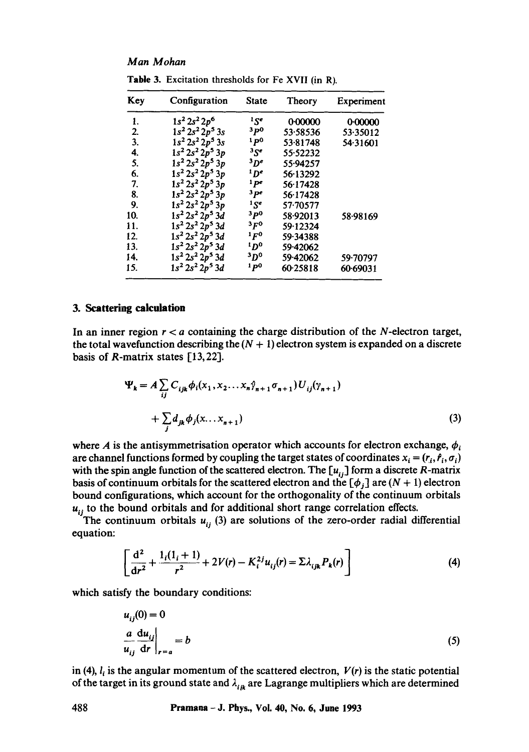# *Man M ohan*

| Key | Configuration       | <b>State</b>    | Theory   | Experiment |
|-----|---------------------|-----------------|----------|------------|
| 1.  | $1s^2 2s^2 2p^6$    | 15 <sup>e</sup> | 0.00000  | 0.00000    |
| 2.  | $1s^2 2s^2 2p^5 3s$ | 3p0             | 53.58536 | 53.35012   |
| 3.  | $1s^2 2s^2 2p^5 3s$ | 1 p0            | 53.81748 | 54.31601   |
| 4.  | $1s^2 2s^2 2p^5 3p$ | ${}^{3}S^{e}$   | 55.52232 |            |
| 5.  | $1s^2 2s^2 2p^5 3p$ | $3p$ e          | 55.94257 |            |
| 6.  | $1s^2 2s^2 2p^5 3p$ | $1$ De          | 56-13292 |            |
| 7.  | $1s^2 2s^2 2p^5 3p$ | 1 pe            | 56.17428 |            |
| 8.  | $1s^2 2s^2 2p^5 3p$ | 3 pe            | 56.17428 |            |
| 9.  | $1s^2 2s^2 2p^5 3p$ | $1$ $S_e$       | 57.70577 |            |
| 10. | $1s^2 2s^2 2p^5 3d$ | 3 p0            | 58.92013 | 58.98169   |
| 11. | $1s^2 2s^2 2p^5 3d$ | 3 FO            | 59.12324 |            |
| 12. | $1s^2 2s^2 2p^5 3d$ | $1F^0$          | 59.34388 |            |
| 13. | $1s^2 2s^2 2p^5 3d$ | 'D°             | 59.42062 |            |
| 14. | $1s^2 2s^2 2p^5 3d$ | 3Do             | 59.42062 | 59.70797   |
| 15. | $1s^2 2s^2 2p^5 3d$ | 1 p0            | 60-25818 | 60.69031   |

Table 3. Excitation thresholds for Fe XVII (in R).

#### 3. Scattering calculation

In an inner region  $r < a$  containing the charge distribution of the N-electron target, the total wavefunction describing the  $(N + 1)$  electron system is expanded on a discrete basis of R-matrix states [13,22].

$$
\Psi_{k} = A \sum_{ij} C_{ijk} \phi_{i}(x_{1}, x_{2}...x_{n} \hat{\gamma}_{n+1} \sigma_{n+1}) U_{ij}(\gamma_{n+1}) + \sum_{j} d_{jk} \phi_{j}(x...x_{n+1})
$$
\n(3)

where A is the antisymmetrisation operator which accounts for electron exchange,  $\phi_i$ are channel functions formed by coupling the target states of coordinates  $x_i = (r_i, \hat{r}_i, \sigma_i)$ with the spin angle function of the scattered electron. The  $[u_{ij}]$  form a discrete R-matrix basis of continuum orbitals for the scattered electron and the  $[\phi_j]$  are  $(N + 1)$  electron bound configurations, which account for the orthogonality of the continuum orbitals  $u_{ij}$  to the bound orbitals and for additional short range correlation effects.

The continuum orbitals  $u_{ii}$  (3) are solutions of the zero-order radial differential equation:

$$
\left[\frac{d^2}{dr^2} + \frac{1_i(1_i+1)}{r^2} + 2V(r) - K_i^{2j}u_{ij}(r) = \Sigma \lambda_{ijk} P_k(r)\right]
$$
 (4)

which satisfy the boundary conditions:

$$
u_{ij}(0) = 0
$$
  

$$
\frac{a}{u_{ij}} \frac{du_{ij}}{dr}\bigg|_{r=a} = b
$$
 (5)

in (4),  $l_i$  is the angular momentum of the scattered electron,  $V(r)$  is the static potential of the target in its ground state and  $\lambda_{ijk}$  are Lagrange multipliers which are determined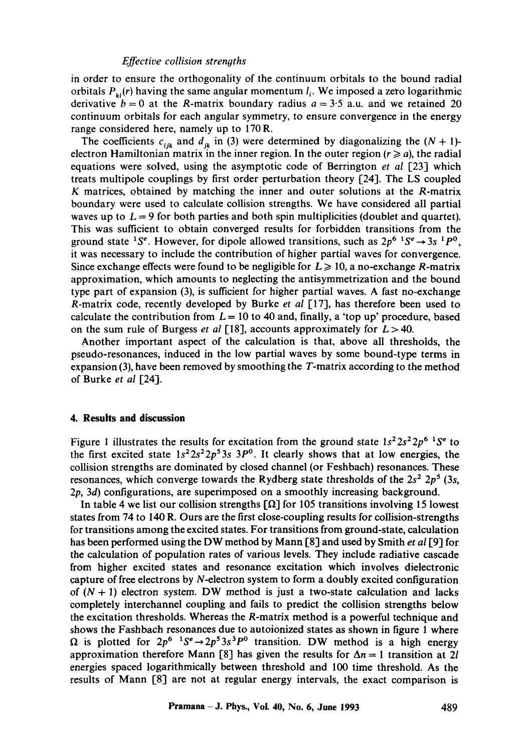in order to ensure the orthogonality of the continuum orbitals to the bound radial orbitals  $P_{\nu}(r)$  having the same angular momentum  $l_i$ . We imposed a zero logarithmic derivative  $b = 0$  at the R-matrix boundary radius  $a = 3.5$  a.u. and we retained 20 continuum orbitals for each angular symmetry, to ensure convergence in the energy range considered here, namely up to 170R.

The coefficients  $c_{ijk}$  and  $d_{ik}$  in (3) were determined by diagonalizing the  $(N + 1)$ electron Hamiltonian matrix in the inner region. In the outer region  $(r \ge a)$ , the radial equations were solved, using the asymptotic code of Berrington *et al* [23] which treats multipole couplings by first order perturbation theory [24]. The LS coupled K matrices, obtained by matching the inner and outer solutions at the R-matrix boundary were used to calculate collision strengths. We have considered all partial waves up to  $L = 9$  for both parties and both spin multiplicities (doublet and quartet). This was sufficient to obtain converged results for forbidden transitions from the ground state <sup>1</sup>S<sup>e</sup>. However, for dipole allowed transitions, such as  $2p^6$  <sup>1</sup>S<sup>e</sup>  $\rightarrow$  3s <sup>1</sup>P<sup>0</sup>, it was necessary to include the contribution of higher partial waves for convergence. Since exchange effects were found to be negligible for  $L \ge 10$ , a no-exchange R-matrix approximation, which amounts to neglecting the antisymmetrization and the bound type part of expansion (3), is sufficient for higher partial waves. A fast no-exchange R-matrix code, recently developed by Burke *et al* [17], has therefore been used to calculate the contribution from  $L = 10$  to 40 and, finally, a 'top up' procedure, based on the sum rule of Burgess *et al* [18], accounts approximately for  $L > 40$ .

Another important aspect of the calculation is that, above all thresholds, the pseudo-resonances, induced in the low partial waves by some bound-type terms in expansion (3), have been removed by smoothing the  $T$ -matrix according to the method of Burke *et al* [24].

# **4. Results and discussion**

Figure 1 illustrates the results for excitation from the ground state  $1s^2 2s^2 2p^6$  <sup>1</sup>S<sup>e</sup> to the first excited state  $1s^2 2s^2 2p^5 3s$   $3P^0$ . It clearly shows that at low energies, the collision strengths are dominated by closed channel (or Feshbach) resonances. These resonances, which converge towards the Rydberg state thresholds of the  $2s^2 2p^5 (3s,$ 2p, 3d) configurations, are superimposed on a smoothly increasing background.

In table 4 we list our collision strengths  $\lceil \Omega \rceil$  for 105 transitions involving 15 lowest states from 74 to 140 R. Ours are the first close-coupling results for collision-strengths for transitions among the excited states. For transitions from ground-state, calculation has been performed using the DW method by Mann [8] and used by Smith *et al* [9] for the calculation of population rates of various levels. They include radiative cascade from higher excited states and resonance excitation which involves dielectronic capture of free electrons by N-electron system to form a doubly excited configuration of  $(N + 1)$  electron system. DW method is just a two-state calculation and lacks completely interchannel coupling and fails to predict the collision strengths below the excitation thresholds. Whereas the R-matrix method is a powerful technique and shows the Fashbach resonances due to autoionized states as shown in figure 1 where  $\Omega$  is plotted for  $2p^6$   $1S^e \rightarrow 2p^53s^3P^0$  transition. DW method is a high energy approximation therefore Mann [8] has given the results for  $\Delta n = 1$  transition at 2l energies spaced logarithmically between threshold and 100 time threshold. As the results of Mann [8] are not at regular energy intervals, the exact comparison is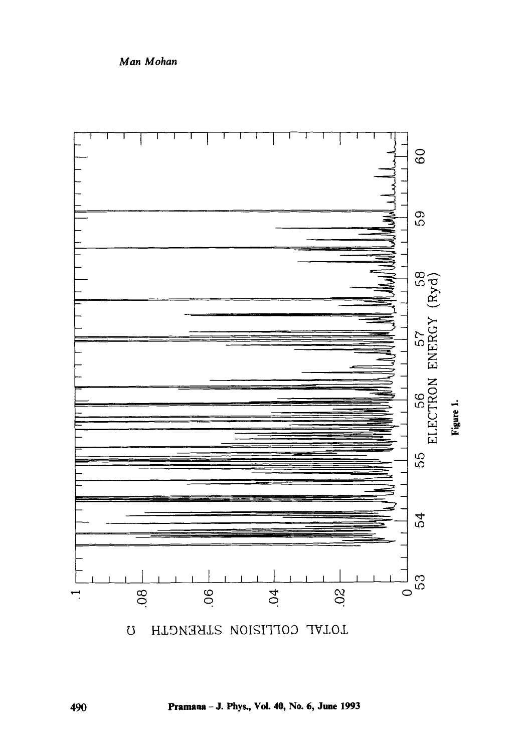

 $\overline{O}$ HUNTERION STRENGTH

Pramana - J. Phys., Vol. 40, No. 6, June 1993

Man Mohan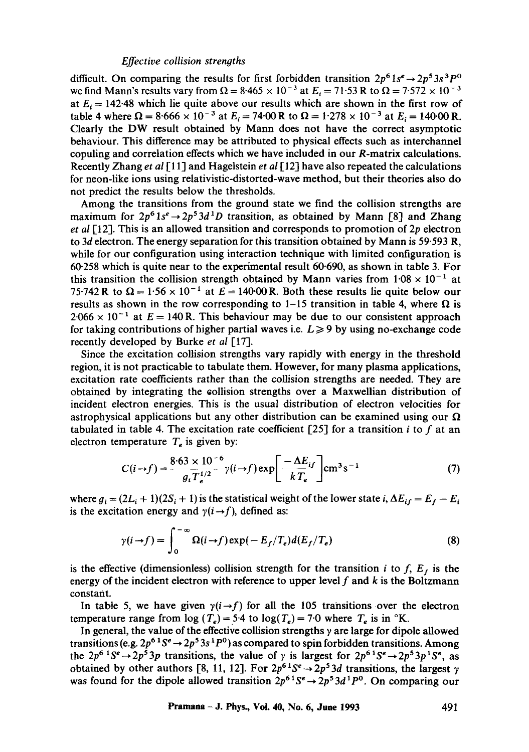difficult. On comparing the results for first forbidden transition  $2p^6 1s^e \rightarrow 2p^5 3s^3 P^0$ we find Mann's results vary from  $\Omega = 8.465 \times 10^{-3}$  at  $E_i = 71.53$  R to  $\Omega = 7.572 \times 10^{-3}$ at  $E_i = 142.48$  which lie quite above our results which are shown in the first row of table 4 where  $\Omega = 8.666 \times 10^{-3}$  at  $E_i = 74.00$  R to  $\Omega = 1.278 \times 10^{-3}$  at  $E_i = 140.00$  R. Clearly the DW result obtained by Mann does not have the correct asymptotic behaviour. This difference may be attributed to physical effects such as interchannel copuling and correlation effects which we have included in our R-matrix calculations. Recently Zhang *et al* I11] and Hagelstein *et al* [12] have also repeated the calculations for neon-like ions using relativistic-distorted-wave method, but their theories also do not predict the results below the thresholds.

Among the transitions from the ground state we find the collision strengths are maximum for  $2p^6 1s^e \rightarrow 2p^5 3d^1D$  transition, as obtained by Mann [8] and Zhang *et al* [12]. This is an allowed transition and corresponds to promotion of 2p electron to 3d electron. The energy separation for this transition obtained by Mann is 59.593 R, while for our configuration using interaction technique with limited configuration is 60-258 which is quite near to the experimental result 60-690, as shown in table 3. For this transition the collision strength obtained by Mann varies from  $1.08 \times 10^{-1}$  at 75.742 R to  $\Omega = 1.56 \times 10^{-1}$  at  $E = 140.00$  R. Both these results lie quite below our results as shown in the row corresponding to 1-15 transition in table 4, where  $\Omega$  is  $2.066 \times 10^{-1}$  at  $E = 140$  R. This behaviour may be due to our consistent approach for taking contributions of higher partial waves i.e.  $L \geq 9$  by using no-exchange code recently developed by Burke *et al* [17].

Since the excitation collision strengths vary rapidly with energy in the threshold region, it is not practicable to tabulate them. However, for many plasma applications, excitation rate coefficients rather than the collision strengths are needed. They are obtained by integrating the collision strengths over a Maxwellian distribution of incident electron energies. This is the usual distribution of electron velocities for astrophysical applications but any other distribution can be examined using our  $\Omega$ tabulated in table 4. The excitation rate coefficient [25] for a transition *i* to f at an electron temperature  $T_e$  is given by:

$$
C(i \rightarrow f) = \frac{8.63 \times 10^{-6}}{g_i T_e^{1/2}} \gamma(i \rightarrow f) \exp\left[\frac{-\Delta E_{if}}{k T_e}\right] \text{cm}^3 \text{s}^{-1}
$$
 (7)

where  $g_i = (2L_i + 1)(2S_i + 1)$  is the statistical weight of the lower state *i*,  $\Delta E_{if} = E_f - E_i$ is the excitation energy and  $\gamma(i \rightarrow f)$ , defined as:

$$
\gamma(i \to f) = \int_0^{-\infty} \Omega(i \to f) \exp(-E_f/T_e) d(E_f/T_e)
$$
 (8)

is the effective (dimensionless) collision strength for the transition i to  $f$ ,  $E<sub>f</sub>$  is the energy of the incident electron with reference to upper level  $f$  and  $k$  is the Boltzmann constant.

In table 5, we have given  $\gamma(i \rightarrow f)$  for all the 105 transitions over the electron temperature range from  $\log(T_e)$  = 5.4 to  $\log(T_e)$  = 7.0 where  $T_e$  is in °K.

In general, the value of the effective collision strengths  $\gamma$  are large for dipole allowed transitions (e.g.  $2p^{6}S^e \rightarrow 2p^53s^1P^0$ ) as compared to spin forbidden transitions. Among the  $2p^{6}$ <sup>1</sup>S<sup>e</sup> $\rightarrow$   $2p^{5}$ 3p transitions, the value of  $\gamma$  is largest for  $2p^{6}$ <sup>1</sup>S<sup>e</sup> $\rightarrow$   $2p^{5}$ 3p<sup>1</sup>S<sup>e</sup>, as obtained by other authors [8, 11, 12]. For  $2p^{6}S^e \rightarrow 2p^53d$  transitions, the largest  $\gamma$ was found for the dipole allowed transition  $2p^{6} S^e \rightarrow 2p^5 3d^1 P^0$ . On comparing our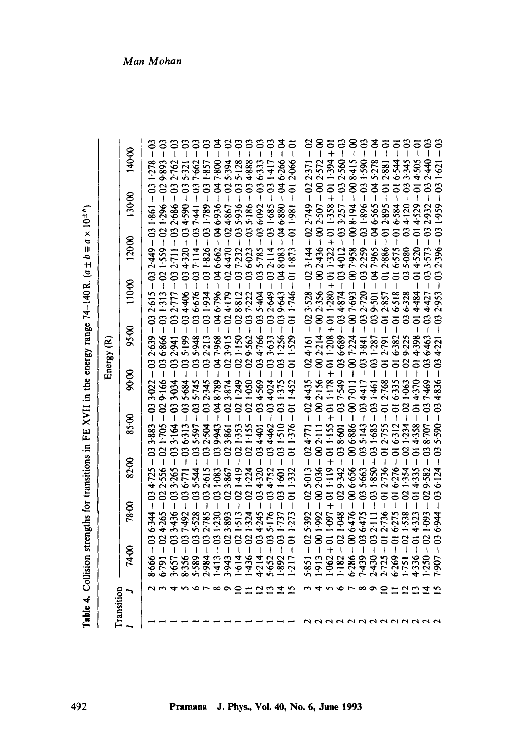Table 4. Collision strengths for transitions in FE XVII in the energy range  $74-140$  R.  $(a \pm b = a \times 10^{-4})$ **Table 4.** Collision strengths for transitions in FE XVII in the energy range 74-140 R.  $(a \pm b \equiv a \times 10^{24})$ 

| ransition |                       |                                      |                                          |                              |                            |                                                     | Energy (R)                  |                            |                                                                |                                  |                        |
|-----------|-----------------------|--------------------------------------|------------------------------------------|------------------------------|----------------------------|-----------------------------------------------------|-----------------------------|----------------------------|----------------------------------------------------------------|----------------------------------|------------------------|
|           |                       | 74.00                                | 78.00                                    | 82.00                        | 8500                       | 80.00                                               | 95.00                       | 110.00                     | 120.00                                                         | 130.00                           | 140.00                 |
|           |                       | S<br>Ĭ<br>8.666                      | $-03$<br>6.344                           | $-63$<br>4.725               | S<br>$\mathbf{I}$<br>3.883 | $-03$<br>3.022                                      | $-03$<br>2.639              | ຣ<br>$\mathbf{I}$<br>2.615 | $-03$<br>2.449                                                 | $-03$<br>1861                    | <u>ي</u><br>ا<br>1.278 |
|           |                       | $\mathbf{S}$<br>6.791                | 8<br>4.265                               | $-02$<br>2.556               | g<br>1.705                 | $-03$<br>9.166                                      | ຮ<br>6.866                  |                            | $\Omega$<br>559                                                | $\mathbf{S}$<br>1.296            | 9.893                  |
|           |                       | $\mathfrak{S}$<br>3.657              | $\mathfrak{S}$                           | S<br>3.265                   | $\ddot{\circ}$<br>3.164    | S                                                   | $-03 -$<br>2.941            | $\mathbf{c}$               | $\mathbf{c}$                                                   | $-03 -$<br>2.686                 | 2.762                  |
|           |                       | $\mathbf{S}$<br>8.356                | $\mathbf{c}$<br>$\overline{\phantom{a}}$ | 6.771                        | $\overline{c}$<br>036.313  | $\ddot{\circ}$<br>5.684                             | $\ddot{\mathbf{c}}$<br>5199 | 4.406                      | 1320                                                           | $\mathfrak{S}$<br>4.590          | 5.321                  |
|           | ۳ ص                   | $\boldsymbol{\mathfrak{S}}$<br>5.589 | S<br>$\overline{\phantom{a}}$            | $\mathbf{S}$<br>5.544        | $\mathbf{S}$<br>5.597      |                                                     | $\mathbf{c}$<br>5-948       | $\overline{c}$<br>6.676    |                                                                | $-03$ .<br>7.441                 | 7.662                  |
|           |                       | $\mathbf{S}$<br>2.984                | $\mathbf{S}$<br>2.785                    | $\mathbf{S}$<br>2.615        | $\mathbf{S}$<br>2.504      | $\ddot{\circ}$<br>345                               | 2.213                       | $\overline{c}$<br>031934   | $\overline{c}$<br>1.826                                        | $-03.$<br>1.789                  | 1.857                  |
|           | $\infty$              | $\mathfrak{S}$<br>1413               | S<br>I<br>1.230                          | S<br>1.083                   | इ<br>9.943                 | \$<br>I<br>8.789                                    | $\frac{4}{3}$<br>7.968      | S<br>6.796                 | g<br>١<br>6.662                                                | $-8$<br>6.936                    | 7.800                  |
|           | ິ                     | $\mathbf{S}$<br>3.943                | $\infty$<br>Í<br>3.893                   | 1.867                        | $\mathbf{S}$<br>3.861      | 8<br>ľ<br>874                                       | $\mathbf{S}$<br>3.915       | $\mathfrak{S}$<br>4.179    | 8<br>4.470                                                     | $\mathcal{S}$<br>4.867           | 5.394                  |
|           | $\subseteq$           | $\mathbf{S}$<br>1614                 | $\infty$<br>1.513                        | $\mathbf{S}$<br>$-419$       | $\infty$<br><b>1353</b>    | $\mathbf{S}$<br>ľ<br>249                            | 1:150                       | $\mathbf{S}$<br>028812     | $\ddot{\circ}$<br>١<br><b>1232</b>                             | $\overline{3}$<br>5.936          | $5 - 128$              |
|           |                       | $\mathbf{S}$<br>1436                 | $\mathbf{S}$                             | $\infty$<br>1.224            | 8<br>1:155                 | g<br>050                                            | $\overline{c}$<br>9.562     | $\mathbf{S}$<br>7.222      | $\overline{c}$<br>6.023                                        | $-03$<br>5.186                   | 4.888                  |
|           | $\mathbf{\mathbf{a}}$ | $\mathfrak{S}$<br>4.214              | ຮ                                        | S<br>4.320                   | S<br>4.401                 | S<br><b>6951</b>                                    | $\mathbf{S}$<br>4.766       | ς<br>5.404                 | $\ddot{\rm s}$                                                 | $-03$<br>6.092                   | 6.333                  |
|           |                       | $\mathbf{S}$<br>5.652                | S<br>Ï                                   | $\ddot{\mathbf{c}}$<br>4.752 | S<br>4.462                 | S<br>l<br>4.024                                     | $\overline{c}$<br>3.633     | $\ddot{\rm s}$<br>2.649    | $\overline{c}$<br>١<br>2.114                                   | 1.685                            | $031-417$              |
|           | ෑ                     | $\mathbf{S}$<br>1892<br>1217         | $\mathbf{S}$<br>$\overline{1}$           | $-03$<br>$\ddot{\circ}$      | $\mathbf{S}$<br>1.510      | S<br>ţ<br>375                                       | $\mathbf{c}$<br>1.256       | Z<br>9.643                 | g<br>8.083                                                     | $\frac{1}{4}$<br>6.880           | 6.266                  |
|           |                       | $\overline{5}$<br>t                  | $\overline{a}$<br>1:273                  | $\frac{1}{2}$<br>1.332       | $-61$<br>1.376             | $\overline{0}$<br>1.452                             | ຸດ<br>1.529                 | $\overline{q}$<br>1.746    | $\overline{5}$<br>$\overline{\phantom{a}}$<br>1.873            | $-6$<br>1.981                    | ミー<br>2.066            |
|           |                       | $-02$<br>5.851                       | $-02$<br>5.392                           | $-62$<br>5.013               | $-02$                      | $-02$<br>4435                                       | $-02$<br>4.161              | $-02$<br>3.528             | $-02$<br>3.144                                                 | $-02$<br>2.749                   |                        |
|           |                       | 8<br>⊦<br>1913                       | $\frac{8}{1}$<br>1.992                   | $2.036 - 002111$             | 8 <sup>1</sup>             | $-8$<br>2.156                                       | 2.214                       | $-8$<br>$-002.356$         | $-002.507$<br>2.436                                            |                                  | $-002.572$             |
|           |                       | $\overline{5}$<br>1.062              | $+011119$<br>1.097                       | $\frac{1}{5}$                | $\overline{6}$<br>1.155    | ā<br>$\overline{+}$<br>1.178                        | 1.208                       | $\frac{1}{2}$<br>$+011280$ | 5<br>$\ddot{\phantom{1}}$                                      | $\frac{1}{2}$<br>1.358           | 194                    |
|           |                       | $\mathfrak{S}$<br>1182               | $-02$<br>1.048                           | 9.342                        | $\mathbf{S}$<br>$-038601$  | $\overline{c}$<br>$\overline{\phantom{a}}$<br>7.549 | $-03$<br>6.689              | $\mathbf{c}$<br>4874       | $\mathbf{C}$<br>$\begin{array}{c} \hline \end{array}$<br>4.012 | $\overline{\mathbf{c}}$<br>3.257 | 2.560                  |
|           | r,                    | $\bar{\mathbf{8}}$<br>6.286          | $-8$<br>6476                             | $6.656 - 006.886$            | 8                          | 8<br>ł<br>7 <sup>.011</sup>                         | 7.224                       | 8<br>$-007.693$            | $\ddot{\bm s}$<br>7.958                                        | 8.194                            | 008.415                |
|           | ∞                     | $\mathbf{S}$<br>1.439                | 3                                        | $-03$<br>5.663               | $\mathbf{S}$<br>5.143      | $\mathbf{S}$<br>4417                                | $-03$<br>3.841              | $\mathbf{c}$<br>2.720      | S<br>052.5                                                     | $\mathbf{C}$<br>968-1            | ຶ່<br>$065 - 1$        |
|           | ឹ                     | $\mathbf{c}$<br>2430                 | ຮ                                        | 1.850                        | $\mathbf{S}$<br>$-031.685$ | $\mathbf{S}$<br>$-461$                              | $\ddot{\circ}$<br>1.287     | $\mathbf{z}$<br>9:501      | $\overline{\mathbf{z}}$<br>١<br>7.965                          | $\mathbf{z}$<br>6.565            | $-64$<br>5.278         |
|           | $\mathbf{\circ}$      | $\overline{5}$<br>2.725              | $\overline{5}$                           | $\overline{0}$<br>2.736      | $\overline{5}$<br>2.755    | $\overline{5}$<br>I<br>2.768                        | $\overline{5}$<br>2.791     | $\overline{5}$<br>2.857    | $\overline{5}$<br>2.886                                        | $\bar{z}$<br>2.895               | 2.881                  |
|           |                       | $\overline{5}$<br>6.269              | 5<br>I                                   | $\overline{q}$<br>6.276      | $\overline{5}$<br>6.312    | ā<br>6335                                           | $\overline{5}$<br>6.382     | $\overline{5}$<br>6.518    | $\overline{5}$<br>6.575                                        | $\overline{5}$<br>6.584          | 6.544                  |
|           | ຕຕ                    | $\infty$<br>-751                     | $\infty$<br>Ī                            | $-02$<br>1.354               | $\infty$<br>1.234          | $\mathbf{S}$<br>I<br>1.063                          | $\overline{c}$<br>9:225     | $\mathbf{S}$<br>6.328      | ຮ<br>5.080                                                     | පි<br>4.120                      | 3.345                  |
|           |                       | $\overline{5}$<br>4.336              | $\overline{5}$<br>I                      | ā<br>$\mathbf{I}$<br>4.335   | ā<br>4.358                 | $\overline{5}$<br>4.370                             | $\overline{a}$<br>4.398     | $\overline{5}$<br>4.484    |                                                                | $\overline{5}$<br>4.529          | 4.505                  |
|           | ₹                     | $\mathbf{S}$<br>1.250                | $\infty$                                 | $\mathbf{S}$                 | $\mathbf{S}$<br>8.707      | S<br>Ì<br>1469                                      | $-13$<br>6463               | $\mathbf{S}$<br>4.427      | S                                                              | 2.932                            | 2.440                  |
|           |                       | S<br><b>L06</b>                      | $-03$<br>6.944                           | ຮ<br>6.124                   | ຮ<br>5.590                 | $\mathbf{S}$<br>$\overline{\phantom{a}}$<br>4.836   | ິງ<br>4·221                 | ဒို<br>2.953               | $\mathbf{c}$<br>ł<br>2.396                                     | $\mathbf{c}$<br>1.959            | ິີ່<br>$\overline{59}$ |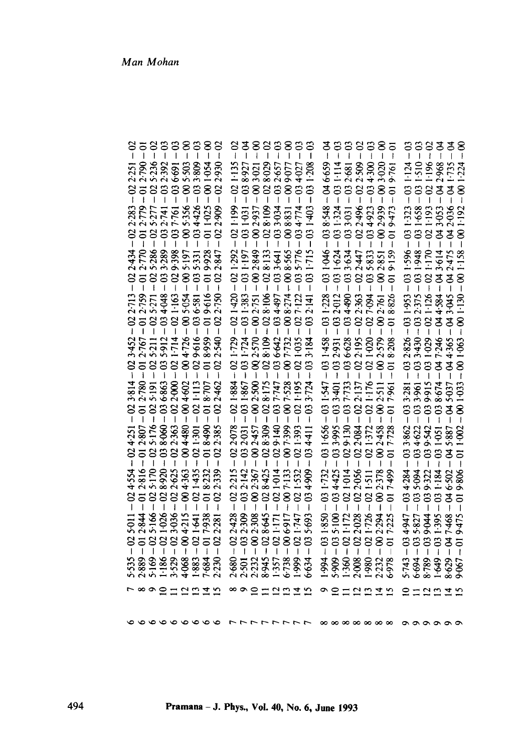| 5.236<br>$-032392$<br>$-005503$<br>$-033809$<br>001054<br>$-012.790$<br>036-691<br>2.251<br>$-02$<br>$-80 -$<br>$\infty$<br>ī<br>I<br>2.283<br>$-012.779$<br>$-005.356$<br>4.426<br>011025<br>2.909<br>$6 - 025.277$<br>$9 - 032.741$<br>$9 - 037.761$<br>$\mathbf{S}$<br>$\overline{3}$<br>$\overline{1}$<br>I<br>$-012.770$<br>9.928<br>2434<br>$-025.286$<br>$1-033.289$<br>$1-029.398$<br>5.197<br>5.331<br>$-02$<br>$-61$<br>8<br>$-03$<br>$-02$<br>019-616<br>$-012.767 - 012.759$<br>$-025.271$<br>$-034.048$<br>5.054<br>2.713<br>$-021.163$<br>036-581<br>$-60.5$<br>$-029.616$<br>$-004726$<br>3:452<br>$-025.211$<br>$-035.912$<br>$-021.714$<br>8.959<br>$-02.7$<br>ຸດີ<br>Ĭ<br>2.780<br>6863<br>2.000<br>3.814<br>$1-113$<br>8.707<br>4.602<br>5.191<br>$\overline{5}$<br>888<br>$-004$<br>$\overline{a}$<br>$\mathbf{S}$<br>I<br>$0 - 025176$<br>$0 - 038060$<br>$0 - 022363$<br>$-004.480$<br>$-0.8 + 0.0 -$<br>$-021.301$<br>$-012.807$<br>4.251<br>2816<br>$-0225$<br>5.170<br>4.363<br>1435<br>8.232<br>4.554<br>$-61$<br>$-02$<br>$-02$<br>$\dot{\mathbf{g}}$<br>S<br>$\infty$<br>$\overline{5}$<br>$\overline{1}$<br>ī<br>$\overline{1}$<br>$\mathbf{I}$<br>2.844<br>$-025:166 -$<br>$-021:026 -$<br>$-023:036 -$<br>$= 004:215 -$<br>$= 021:641$<br>017-938<br>5-011<br>$\overline{\bullet}$<br>$\mathbf{S}$ | $-021:135$<br>$-028029$<br>$-032657$<br>$-009077$<br>$-034027$<br>$-038927$<br>$-003021$<br>$-002937$<br>$-028109$<br>$-033034$<br>021.199<br>034774<br>$-031031$<br>8.831<br>8<br>$\sf I$<br>$\mathsf I$<br>$\mathbf I$<br>I<br>$-02$ 1.292<br>$-002.849$<br>8.565<br>5.776<br>$-031.197$<br>$-028.133$<br>$-033641$<br>$-8$<br>$-03$<br>$-021.420$<br>$-031 - 724 - 031 - 383$<br>$-002.570 - 002.751$<br>$-028.109 - 028.106$<br>$-034497$<br>$-008.274$<br>027-122<br>$-021.729$<br>036-642<br>7.732<br>$-021035$<br>$-8$<br>$-03$<br>$\mathbf{I}$<br>021884<br>$-031867$<br>$-002500$<br>$-028175$<br>$-037747$<br>021:195<br>$-8$<br>$\mathbf{C}$<br>I<br>$-022078$<br>$-028.309$<br>$-029.140$<br>$-021.393$<br>$-032031$<br>$-007.399$<br>$-002457$<br>4.411<br>$-032:142$<br>2.215<br>8:425<br>$-021014$<br>2.367<br>7.133<br>$-02$<br>$-02$<br>$-00 -$<br>$-8$<br>$-02$<br>$-03$<br>032-309<br>2.428<br>$-002308$<br>$-028645$<br>$-021171$<br>5.693<br>00 6-917<br>02 1747<br>2<br>$\mathbf{I}$<br>ľ | $-02$<br>$-63$<br>$\frac{8}{1}$<br>$\overline{0}$<br>$-032681$<br>$-022509$<br>$-003020$<br>$019761$<br>$-046.659$<br>$-031:114$<br>4.300<br>$-034$<br>8.548<br>$1 - 031.324$<br>$1 - 033.031$<br>$- 022.496$<br>2.939<br>4.923<br>9.473<br>$-03$<br>$-02$<br>$\ddot{\circ}$<br>$\overline{8}$<br>$\overline{5}$<br>ļ<br>I<br>1<br>$-031046$<br>$-031624$<br>$-033634$<br>035-833<br>$-02247$<br>2.851<br>8<br>$\overline{5}$<br>$-031.228$<br>$-032012$<br>$3 - 034490$<br>$5 - 022363$<br>8826<br>$-027094$<br>$-002.761$<br>$-032.931$<br>$-031.458$<br>$-022:195$<br>$-036628$<br>$-021.020$<br>2.579<br>$\frac{8}{1}$<br>5<br>$\mathbf{I}$<br>7.733<br>1.547<br>$-033401$<br>1.176<br>2.137<br>2.511<br>7.961<br>381<br>$\ddot{\mathbf{8}}$<br>$-03$<br>$-031.656$<br>$-033995$<br>$-022084$<br>$-029.130$<br>2.458<br>7.728<br>$-021:372$<br>$\ddot{\mathbf{8}}$<br>$-034.425$<br>$-031.732$<br>2.056<br>1014<br>2.378<br>$-021511$<br>$-8$<br>$-02$<br>$-02$<br>$\overline{5}$<br>$\overline{1}$<br>$-035.100$<br>1.850<br>$-02$ 1:172<br>$-02$ 2:028<br>021.726<br>2.294<br>$\mathbf{S}$<br>$\boldsymbol{\mathcal{S}}$<br>$\overline{a}$<br>1.994 | $-63$<br>$\frac{4}{1}$<br>ິງ<br>$-02$<br>$-64$<br>ຶ້<br>1.510<br>$-021:196 -$<br>$-042:968 -$<br>$-041:735 -$<br>1.124<br>1.224<br>$-03.1$<br>$-03$<br>1.658<br>$-021:193$<br>$-043:053$<br>$-042:036$<br>1.323<br>1.192<br>$-031$<br>8<br> <br>$-03$<br>1.596<br>031.948<br>$-042475$<br>021.170<br>043.614<br>$-03$<br>8<br>ł<br>$-031953$<br>$-032375$<br>$-021 - 126$<br>$-044584$<br>$-043045$<br>$001 - 130$<br>3.430<br>$-031029$<br>$-032826$<br>$-047.246$<br>4.365<br>1.063<br>$-03$<br>प<br>न<br>90<br>ا<br>$033961$<br>$039915$<br>$-0333281$<br>8.674<br>5.037<br>$\boldsymbol{\mathbb{S}}$<br>$\frac{1}{2}$<br>8<br>I<br>$-033862$<br>$-034622$<br>$-039.542$<br>$-031.051$<br>$-045887$<br>$-802$<br>ຣ<br>5.094<br>$-034.284$<br>$-039.322$<br>$-031.184$<br>6.502<br>$-03$<br>प<br>न<br>$-035827$<br>$-039044$<br>031-395<br>7.468<br>$-034947$<br>9475<br>$-03.5$<br>ष्ठ<br>$\overline{5}$<br>$\mathbf{I}$ |
|-----------------------------------------------------------------------------------------------------------------------------------------------------------------------------------------------------------------------------------------------------------------------------------------------------------------------------------------------------------------------------------------------------------------------------------------------------------------------------------------------------------------------------------------------------------------------------------------------------------------------------------------------------------------------------------------------------------------------------------------------------------------------------------------------------------------------------------------------------------------------------------------------------------------------------------------------------------------------------------------------------------------------------------------------------------------------------------------------------------------------------------------------------------------------------------------------------------------------------------------------------------------------------------------------------------------------------------|-----------------------------------------------------------------------------------------------------------------------------------------------------------------------------------------------------------------------------------------------------------------------------------------------------------------------------------------------------------------------------------------------------------------------------------------------------------------------------------------------------------------------------------------------------------------------------------------------------------------------------------------------------------------------------------------------------------------------------------------------------------------------------------------------------------------------------------------------------------------------------------------------------------------------------------------------------------------------------------------------------------------|-----------------------------------------------------------------------------------------------------------------------------------------------------------------------------------------------------------------------------------------------------------------------------------------------------------------------------------------------------------------------------------------------------------------------------------------------------------------------------------------------------------------------------------------------------------------------------------------------------------------------------------------------------------------------------------------------------------------------------------------------------------------------------------------------------------------------------------------------------------------------------------------------------------------------------------------------------------------------------------------------------------------------------------------------------------------------------------------------------------------------------------------------------------|-----------------------------------------------------------------------------------------------------------------------------------------------------------------------------------------------------------------------------------------------------------------------------------------------------------------------------------------------------------------------------------------------------------------------------------------------------------------------------------------------------------------------------------------------------------------------------------------------------------------------------------------------------------------------------------------------------------------------------------------------------------------------------------------------------------------------------------------------------------------------------------------------------------------------------|
| 3.529<br>4.068<br>2.889<br>1.186<br>7.684<br>2.230<br>5.169<br>1.883<br><b>1899</b>                                                                                                                                                                                                                                                                                                                                                                                                                                                                                                                                                                                                                                                                                                                                                                                                                                                                                                                                                                                                                                                                                                                                                                                                                                               | $6 - 738$<br>2.680<br>8.945<br>1.357<br>1.999<br>2.232<br>2.501<br>6.634<br>$\circ \circ \circ$                                                                                                                                                                                                                                                                                                                                                                                                                                                                                                                                                                                                                                                                                                                                                                                                                                                                                                                 | 5.909<br>1.980<br>1.360<br>2.008<br>2.232<br>6.978<br>Ō                                                                                                                                                                                                                                                                                                                                                                                                                                                                                                                                                                                                                                                                                                                                                                                                                                                                                                                                                                                                                                                                                                   | 6.694<br>1.649<br>$5 - 743$<br>8.789<br>8.629                                                                                                                                                                                                                                                                                                                                                                                                                                                                                                                                                                                                                                                                                                                                                                                                                                                                               |
| 2222<br>$\equiv$                                                                                                                                                                                                                                                                                                                                                                                                                                                                                                                                                                                                                                                                                                                                                                                                                                                                                                                                                                                                                                                                                                                                                                                                                                                                                                                  | 221                                                                                                                                                                                                                                                                                                                                                                                                                                                                                                                                                                                                                                                                                                                                                                                                                                                                                                                                                                                                             | $\overline{2}$<br>$\frac{45}{15}$                                                                                                                                                                                                                                                                                                                                                                                                                                                                                                                                                                                                                                                                                                                                                                                                                                                                                                                                                                                                                                                                                                                         | ≘<br>221                                                                                                                                                                                                                                                                                                                                                                                                                                                                                                                                                                                                                                                                                                                                                                                                                                                                                                                    |
|                                                                                                                                                                                                                                                                                                                                                                                                                                                                                                                                                                                                                                                                                                                                                                                                                                                                                                                                                                                                                                                                                                                                                                                                                                                                                                                                   |                                                                                                                                                                                                                                                                                                                                                                                                                                                                                                                                                                                                                                                                                                                                                                                                                                                                                                                                                                                                                 |                                                                                                                                                                                                                                                                                                                                                                                                                                                                                                                                                                                                                                                                                                                                                                                                                                                                                                                                                                                                                                                                                                                                                           |                                                                                                                                                                                                                                                                                                                                                                                                                                                                                                                                                                                                                                                                                                                                                                                                                                                                                                                             |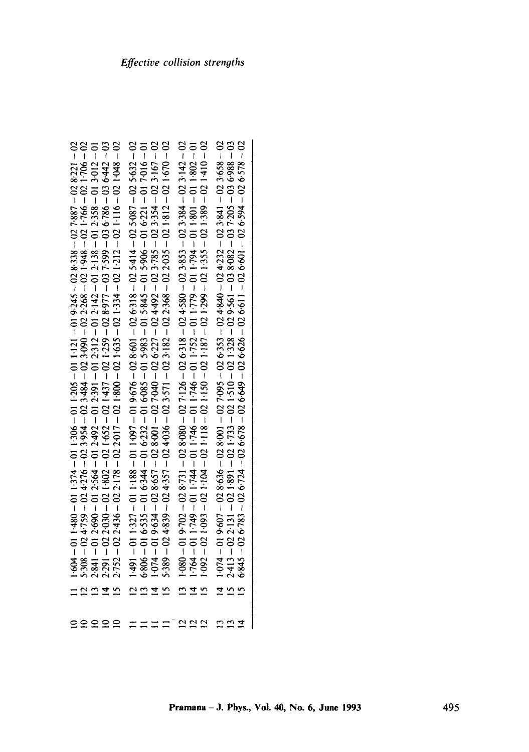| $6845 - 026783 - 026724 - 026678 - 026649 - 026626 - 026611 - 026601 - 026594 - 026578 - 026578 - 026578 - 026578$                                                                                                                                                              |                |
|---------------------------------------------------------------------------------------------------------------------------------------------------------------------------------------------------------------------------------------------------------------------------------|----------------|
|                                                                                                                                                                                                                                                                                 | $\frac{13}{4}$ |
|                                                                                                                                                                                                                                                                                 |                |
| $10 - 208 + 10 = 108 + 10 = 108 + 10 = 108 + 10 = 108 + 10 = 108 + 10 = 108 + 10 = 108 + 10 = 108 + 10 = 108 + 10 = 108 + 10 = 108 + 10 = 108 + 10 = 108 + 10 = 108 + 10 = 108 + 10 = 108 + 10 = 108 + 10 = 108 + 10 = 108 + 10 = 108 + 10 = 108 + 10 = 108 + 10 = 108 + 10 = $ |                |
| $1.080 - 019.702 - 028.731 - 028.080 - 027.126 - 026.318 - 024.580 - 023.853 - 023.384 - 023.142 - 02$                                                                                                                                                                          | $\frac{2}{12}$ |
| $5.389 - 024339 - 024357 - 024036 - 023571 - 023182 - 022368 - 022035 - 021812 - 021670 - 02$                                                                                                                                                                                   |                |
|                                                                                                                                                                                                                                                                                 |                |
|                                                                                                                                                                                                                                                                                 |                |
| $1+491 - 011+327 - 011+188 - 011+097 - 019+676 - 028+601 - 026+318 - 025+14-025+087 - 025+6866 - 016+535-016+344 - 016+232 - 016+085-015+983-015+845-015+906-016+201-017+016-011+074-019+634-028+01-027+040-026+227-024+492-023+785-023+$                                       |                |
| $1+604 - 01 + 480 - 011-374 - 011-306 - 011-205 - 011-121 - 019-245 - 028-338 - 027-887 - 028-221-025-398-027-398-027-398-029-021-766-021-766-021-766-021-766-021-766-021-766-021-766-021-766-021-766-021-766-021-766-021-766-021-766-0$                                        |                |
|                                                                                                                                                                                                                                                                                 |                |
|                                                                                                                                                                                                                                                                                 | 222            |
|                                                                                                                                                                                                                                                                                 |                |
|                                                                                                                                                                                                                                                                                 |                |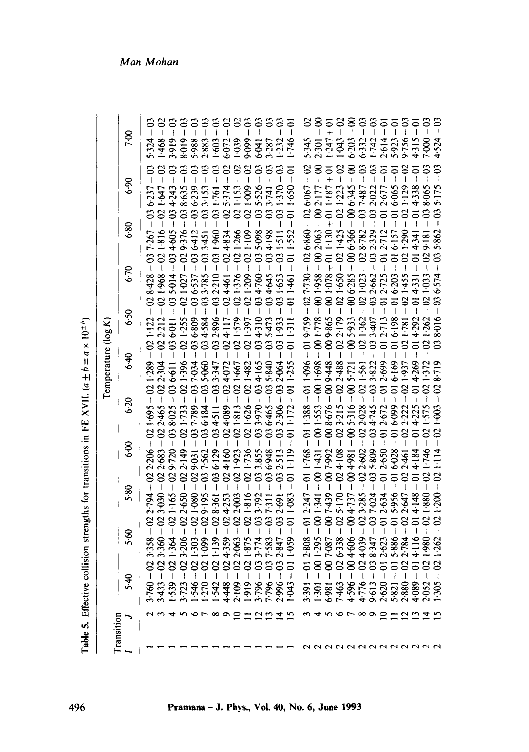**Table 5. Effective collision strengths for transitions in FE XVII.** ( $a \pm b \equiv a \times 10^{2}$  ") **Table 5.** Effective collision strengths for transitions in FE XVII.  $(a \pm b \equiv a \times 10^{10})$ 

|                     | Man Mohan |                                    |                                    |                              |                        |                              |                            |                                                   |                                |                        |                                |                                                                |                            |                                           |                                               |                            |                                   |                                                              |                   |                          |                                   |                                     |                                         |                           |                                        |                                                             |                       |                                      |
|---------------------|-----------|------------------------------------|------------------------------------|------------------------------|------------------------|------------------------------|----------------------------|---------------------------------------------------|--------------------------------|------------------------|--------------------------------|----------------------------------------------------------------|----------------------------|-------------------------------------------|-----------------------------------------------|----------------------------|-----------------------------------|--------------------------------------------------------------|-------------------|--------------------------|-----------------------------------|-------------------------------------|-----------------------------------------|---------------------------|----------------------------------------|-------------------------------------------------------------|-----------------------|--------------------------------------|
|                     | 7.00      | ප<br>.324                          | 8<br>468                           |                              | 2010                   | 886.                         | .883                       | Ş                                                 |                                | $-039$                 | 660.                           | 6.041                                                          | ප<br>(85                   |                                           | 이<br>그<br>746                                 | ခ<br>345                   | $\bar{5}$                         |                                                              |                   | 8<br>6.203               |                                   | $-742$                              | 2.614                                   |                           |                                        |                                                             |                       | ප<br>4.524                           |
|                     | 06.9      | 6.237                              | 1.647                              | 4.243                        | 8.635                  | 6.239                        | $3 - 153$                  | 161.                                              | $\mathbf{S}$<br>.374           | $\approx$<br>$-153$    | $\mathbf{S}$<br>$\frac{60}{3}$ | Ξ<br>526                                                       | $\overline{141}$           | 1.370                                     | ਠ<br>$\mathsf{I}$<br>$059 - 1$                | $6 - 067$                  | 2.177                             | 187                                                          | $\frac{23}{2}$    | 8<br>6.345               | $\mathfrak{S}$<br>अं              | පි<br>2.022                         | 2.677                                   | 6.065                     | <b>129</b>                             | 4.338                                                       | 8.065                 | ຮ<br>5.175                           |
|                     | 6.80      | $-03$<br>$-037.267$                | $\boldsymbol{\mathcal{S}}$<br>1816 | $\ddot{\mathbf{c}}$<br>4.605 | $\mathbf{S}$<br>9.376  | $\overline{c}$               | ස<br>3.451                 | ප<br>1.960                                        | 4.834                          | 1.266                  | $^{801}$                       | 5.098                                                          | 4.198                      | ප<br>$\frac{1}{2}$                        | $\overline{0}$<br>1.552                       | $-02$<br>6.860             | $-8$<br>2.063                     | $\overline{6}$<br>1.130                                      | 1.425             | 8<br>6.366               | 8.782                             | 2.329                               | ఠ<br>2.712                              | 6.157                     | 1.290                                  |                                                             | 9.181                 | ප<br>5.862                           |
|                     | 6.70      | 8.428                              | 1.968                              | 888<br>5.014                 | 1027                   | $\mathfrak{S}$<br>6.537      | S<br>3.785                 | $\mathbf{c}$<br>210                               | $\mathbf{S}$<br>$\frac{46}{5}$ | $\mathbf{S}$<br>376    | $\mathcal{S}$<br>209           | 1.760                                                          | $\ddot{\circ}$<br>4.645    | $\mathfrak{S}$<br>$-65$                   | $\overline{0}$<br>1.461                       | $-02$<br>7.730             | $-8$<br>1.958                     | $+01$<br>$+02$ 1.<br>$-078$                                  | $0.9 - 1$         | $\mathbf 8$<br>6.285     | $\mathfrak{S}$<br>$\overline{02}$ | $\overline{c}$<br>2.662             | కె<br>2.725                             | $\overline{5}$<br>$6-203$ | $\mathcal{S}$<br>1.455                 | $\overline{5}$                                              | $\mathbf{S}$          | ප<br>6.574                           |
|                     | 6.50      | $-02$<br>1:122                     | $-02$<br>2.212                     | $-03$ $*$<br>$-10.9$         | $-02$<br>1.255         | $\mathfrak{S}$<br>6.809      | S<br>4.584                 | $\mathbf{c}$<br>896                               | $\mathcal{S}$                  | 579                    | $\infty$<br>-397               | 1310                                                           | 5.473                      | S<br>1.933                                | $\overline{0}$<br>$\overline{131}$            | $-02$<br>9.759             | $-00 -$<br>1.778                  | 8<br>9865                                                    | $\infty$<br>2.179 | $\bar{8}$<br>005.933     | $\infty$                          | $\ddot{\circ}$<br>3.407             | 5                                       | $\overline{5}$<br>6.198   | ຮ<br>$\overline{\phantom{a}}$<br>1.781 | $\overline{\circ}$<br>4.292                                 |                       | ස<br>8.016                           |
| Temperature (log K) | 9.<br>≎   | $\infty$<br>1.289                  | $\mathbf{S}$<br>રૂં                | 6.611                        | $\bar{3}8$<br>.396     | $\mathfrak{S}$<br>$-034$     | $\mathbf{S}$<br>5.060      | $\mathbf{S}$<br>1347                              | $\mathbf{S}$                   | $\mathbf{S}$<br>-667   | $\mathbf{S}$                   | $\mathbf{S}$<br>1165                                           | පි<br>5.840                | 2.064                                     | $\overline{0}$<br>1.255                       | $\overline{5}$<br>1.096    | $-00 -$<br>1.698                  | 88<br>9-448                                                  | 2.488             | 5.721                    | $\infty$<br>$\tilde{9}$           | $\mathbf{S}$                        | కె<br>2.699                             | 5<br>6.169                | $\mathbf{S}$<br>1.937                  | $\overline{5}$<br>4.269                                     |                       | ຮ                                    |
|                     | 6:20      | $-02$<br>1.695                     | $\infty$<br>2465                   | $\mathbf{S}$<br>8.025        | $\Omega$<br><b>FEL</b> | $\mathbf{c}$<br><b>1.789</b> | ප<br>6.184                 | $\mathbf{S}$<br>$\overline{\phantom{a}}$<br>4.511 | 8<br>4.089                     | 1813                   | 626                            | $\boldsymbol{\mathcal{S}}$<br>3.970                            | පි<br>١<br>6465            | Ξ                                         | $-0$<br>$1 - 172$                             | $\frac{1}{2}$<br>1.388     | $-8$<br>1.553                     | $\bar{\mathbf{g}}$<br>$\mathbf{I}$<br>$-008676$<br>$023.215$ | $\infty$          | $\infty$<br>5.316        | $\infty$<br>0.00                  | 4.745                               | 5<br>2.672                              | $\overline{5}$<br>6.099   | $\approx$                              | $\overline{\circ}$                                          |                       | ຮ<br>$\ddot{\bm{8}}$                 |
|                     | 6.00      | $\infty$<br>2.206                  | $\mathbf{S}$<br>2.683              | 9.720                        | 383<br>2.149           | 60.6                         | $\ddot{\circ}$<br>1.562    | $\mathbf{C}$<br>6.129                             | $\mathbf{S}$<br>$\frac{8}{1}$  | $\mathbf{S}$<br>$-923$ |                                | $\mathbf{C}$                                                   | $\overline{c}$<br>6.948    | 513                                       | $\overline{\bullet}$<br>$\mathbf{I}$<br>1.119 | $\overline{5}$<br>1.768    | $\overline{8}$<br>1.431           | 7.992                                                        | $024 - 108$       | $\epsilon$<br>1.981<br>Š | $\mathcal{L}$<br>2.602            | $\ddot{3}$<br>5.809<br>$\mathbf{c}$ | $\overline{5}$<br>2.650                 | $\overline{5}$<br>6.028   | $\mathbf{S}$<br>2:461<br>$\mathbf{S}$  | 4.184                                                       | 746                   | $\boldsymbol{\mathcal{S}}$<br>$-114$ |
|                     | 5.80      | $\infty$<br>2.794<br>$\mathcal{S}$ | $3 - 030$                          | 88<br>1.165<br>8888          | $\mathbf{S}$<br>2.650  | $\mathbf{S}$<br>$080 - 1$    | ຮ<br>9.195<br>$\mathbf{S}$ | 8:361                                             |                                | $\infty$<br>02 2:003   | $\infty$<br>1.816<br>83        | $\mathbf{S}$<br>3.792                                          | $^{131}$<br>$\mathfrak{S}$ | $\mathbb{S}^1$<br>2.691<br>$\mathfrak{S}$ | $\overline{0}$<br>1.083                       | $\overline{6}$             | $-60$<br>$-012.247$<br>$-001.341$ | $\otimes$<br>$-007.439$<br>02 5.170<br>00 4.737              | 5.170             |                          | $\infty$<br>3.285<br>$\infty$     | 037-024                             | ਠ<br>2.634<br>55                        | $\overline{5}$<br>5.956   | ł<br>2.647<br>$\mathbf{S}$             | $\overline{5}$<br>$\overline{1}$<br>4.148<br>$\overline{5}$ | 1.880<br>$\infty$     | $\mathcal{S}$<br>1.200<br>$\infty$   |
|                     | 5.60      | J<br>3.358                         | 3.360                              | 1.364                        | 3.206                  | 1.303                        | <b>1099</b>                | 88<br>1.139                                       | 4.359                          | 2.063<br>$\mathcal{S}$ | 1.875                          | 3.774                                                          | 7.583                      | 2.847                                     | $\overline{\circ}$<br>I<br>1.059              | $\mathbf{I}$<br>$-012.808$ | 1.295                             | $-007.087$<br>$-026.338$                                     |                   |                          | $-024039$                         | 038-347                             | 2.623                                   | 5886                      | 2.784<br>$\mathbf{S}$                  | 4.116                                                       | 1.980<br>$\mathbf{S}$ | 1.262                                |
|                     | 5.40      | $-02$<br>3.760                     | $-02$<br>3.433                     | $-02$<br><b>1.539</b>        | $-02$<br>$3 - 723$     | $-02$<br>346                 | $-010 - 02$                | $\frac{8}{1}$<br>.542                             | 4.448                          | 2.109                  | $-02$<br>1.919                 | $\boldsymbol{\mathcal{S}}$<br>$\overline{\mathbf{I}}$<br>3.796 | $\mathbf{C}$<br>7.796      | $-03.$<br>2.996                           | $\overline{q}$<br>1.043                       | 3.391                      | $-001$<br>1:301                   | 6.981                                                        | 7463              | $4.596 - 004.606$        | 4.776                             | 9.613                               | $\overline{5}$<br>$\mathbf{I}$<br>2.620 | $\overline{5}$<br>5.821   | 2.880                                  | $\overline{5}$<br>$\overline{\mathbf{I}}$<br>4.089          | 2.052                 | $\infty$<br>305                      |
| Transition          |           |                                    |                                    |                              |                        | ۳ ص                          |                            | $\infty$                                          | ຶ                              | ≘                      |                                | = 2 2 7                                                        |                            |                                           | $\mathbf{5}$                                  |                            | ↴                                 |                                                              |                   | -r                       | ∞                                 | $\circ$<br>aaaaaaaaaa               | ≘                                       |                           | $\Xi$ $\Xi$                            |                                                             | $\vec{a}$             |                                      |

# Man Mohan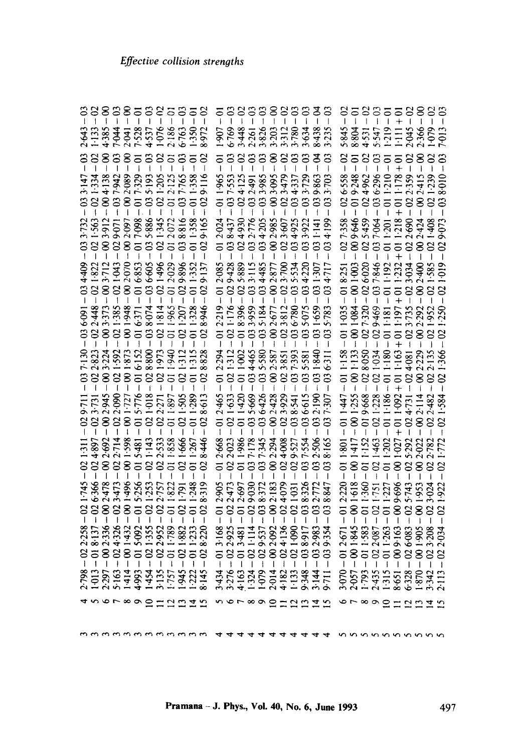| $\begin{array}{c} 38 \\ -1 \end{array}$<br>3.147<br>$\frac{33}{21}$<br>$-033732$<br>$-021563$<br>$-034409$ $-031323$ $-0313433$ $-0313433$ $-0313433$ $-03213433$ $-03203533$ $-03203533$ $-03203533$ $-0320353$<br>$-036091 - 032448$ $-022448$ $-0234373$ $-033732$ $-031385$ $-0313736$ $-031385$ $-0313736$ $-0313736$ $-0313736$ $-031374$ $-031374$<br>7.130<br>$-02$ y <sub>11</sub> :<br>$1-02$ 3.731.<br>$1.745 - 02$ 1.311<br>6.366 - 02 4.897<br>$-02$<br>$\begin{array}{r} -022238 \\ -018137 \\ -018137 \\ -02336 \\ -024326 \\ -04326 \\ -01432 \\ -01500 \\ -01500 \\ -01500 \\ -01100 \\ -01100 \\ -01100 \\ -01100 \\ -01100 \\ -01100 \\ -01100 \\ -01100 \\ -01100 \\ -01100 \\ -01100 \\ -01100 \\ -01100 \\ -01100 \\ -01100 \\ -01100 \\ -01100 \\ -01100 \\ -01100 \\ -01100$ | 1.334<br>2823<br>$-02$ | 2.478 | 3.473 | 8887<br>3355132<br>2.692<br>2.714<br>1.598<br>8885<br>88878 | $\frac{1}{\sqrt{1}}$<br>5.481<br>1.496<br>5.256 | 8.800<br>$-021.143$ | 8385335<br>$\frac{8}{1}$<br>616.1<br>2.533<br>1.858<br>$\frac{02}{10}$<br>1.253<br>2.757<br>1.822<br>5-092<br>1-355<br>1-789<br>1-789<br>$\mathbf{S}$ | 940<br>$\overline{c}$ | 2.643<br>1.1335<br>4.3854441386<br>4.5325<br>4.5325656<br>6.763<br>$\mathbf{S}$<br>$-894138$ $-89423$ $-89202089$ $-89202089$ $-89202089$ $-89202089$ $-89202089$ $-89202089$ $-89202089$ $-89202089$ $-89202089$ $-89202089$<br>3912<br>9071 - 2088 - 2007<br>2008 - 2007<br>2008 - 2012<br>$\overline{3}$<br>029-896<br>1.207<br>$-002945 - 022090$ $-0220001727 - 015776$ $-005776 - 015772$ $-005776 - 015727$ $-005776 - 015727$ $-005776 - 01597$<br>666<br>$-02$<br>I6L.<br>877<br>.881<br>$\rm s$ | 1:350<br>ఠ<br>1.328<br>$\overline{\circ}$<br>$\frac{315}{5}$<br>$-01$<br>$\overline{q}$<br>.248<br>$\overline{5}$ | 8.972<br>$\infty$<br>8.946<br>8.828<br>613<br>8.446<br>8.319<br>$-02$<br>8.220<br>$-02$ | 5<br>2024<br>$\overline{5}$<br>$\overline{5}$<br>2.219<br>$\overline{\sigma}$<br>$-294$<br>2.668<br>3.168 | 8.437<br>$\mathfrak{S}$<br>$-02$<br>1.176<br>$-02$<br>312<br>2.023 | 5889<br>3115<br>$-023$ | 6769<br>53265<br>53265<br>53267312<br>5780<br>3333833<br>7.553<br>4.125<br>4.2.3.85<br>5.7729<br>38388888<br>$-024930$ $-032776$ $-034205$ $-034205$ $-034205$ $-034205$ $-03495$ $-03495$<br>034485<br>$2 - 018396$<br>$- 033959$<br>$- 035184$<br>$- 035184$<br>$- 0025677$<br>$- 0023812$<br>$- 023812$<br>$- 036780$<br>$-1011002$<br>$-1034465$<br>$-103465$<br>$-1035580$<br>$-1035587$<br>$-103235$<br>$-103553$<br>$-103533$<br>1.986<br>871.7<br>886.1<br>$3 - 012905$ $- 022473$ $- 012697$ $- 012697$ $- 012697$ $- 012697$ $- 012697$ $- 012697$ $- 012677$ $- 012677$ $- 012677$ $- 0126772$ $- 0126772$<br>2.925<br>3.481<br>3.537<br>4.136<br>4.136 | $-002377$ $-023500$ $-035534$<br>2.294 | 4.008<br>9.527 | $\mathbf{C}$<br>$\mathfrak{S}$<br>$\mathfrak{S}$<br>5.075<br>$-03$<br>1.554<br>8.917 | 8.438<br>ड<br>-863<br>$\frac{141}{}$<br>$\ddot{\circ}$<br>$\mathbf{c}$<br>1.659<br>$\overline{\mathbf{c}}$<br>1.840<br>$\mathfrak{S}$<br>2.506<br>2.983 | 23<br>$\mathbf{S}$<br>703<br>4.199<br>5.783<br>6311<br>8.165<br>$\mathbf{c}$ | 2<br>$-02 -$<br>$\overline{5}$<br>1.035<br>$\overline{5}$<br>1.158<br>$\overline{0}$<br>1.447<br>$\overline{0}$<br>1.801<br>$\overline{5}$<br>2.220<br>ຸຣິ<br>2.671<br>$\overline{5}$ | 1417<br>877                    | 58<br>1152 | 1.463 | 등 2 3 5 5 2 8 2 3<br>- - - - - + - - - -<br>5845<br>885547<br>685547<br>5945<br>5956<br>35588<br>$-026538$ $-0194962$ $-0364962$ $-024962$ $-0365296$ $-0406296$ $-0407296$ $-0407296$ $-0407296$ $-0407296$ $-0407296$ $-0407296$<br>$-009646 - 009646$ $-037064 - 037064 - 031201 - 011201 - 040$<br>$1 - 001003$ $- 026020$ $- 037846$ $- 011123$ $- 011123$ $- 011232$ $- 01203034$ $- 023034$ $- 023034$<br>$-001.084$ $-027.320$ $-029.469$ $-011.181$ $+011.197$<br>$\begin{array}{r} -001133 \\ -028050 \\ -028050 \\ -021034 \\ -011180 \\ -011163 \\ -011163 \\ -011163 \\ -024081 \end{array}$<br>$-001255$ $-019668$ $-021228$ $-011486$ $-011406$ $+014022$ $+014022$ $-024731$<br>1.202<br>1.027<br>$\frac{1888}{1111}$<br>1.618<br>1.751<br>1.757<br>1.277<br>9.643<br>8888888888888888888888888<br>1845<br>1956<br>1966<br>1969<br>1969<br>1969<br>1969<br>$87777880787$ |           | 3.735<br>$-02.7$<br>4.081 | $-002.424$<br>$-002.292$<br>$-60.7$<br>2:022<br>2:782<br>1953<br>3024 | $\frac{610 \cdot 1}{640}$<br>83<br>1.239<br>$-02$<br>1.952<br>2.135<br>$-02$<br>2.482<br>$-02$ | $-03$<br>$-02$<br>610<br>$\infty$<br>$\infty$<br>$\infty$<br>$-922$<br>$\Omega$<br>$\infty$ |
|------------------------------------------------------------------------------------------------------------------------------------------------------------------------------------------------------------------------------------------------------------------------------------------------------------------------------------------------------------------------------------------------------------------------------------------------------------------------------------------------------------------------------------------------------------------------------------------------------------------------------------------------------------------------------------------------------------------------------------------------------------------------------------------------------|------------------------|-------|-------|-------------------------------------------------------------|-------------------------------------------------|---------------------|-------------------------------------------------------------------------------------------------------------------------------------------------------|-----------------------|-----------------------------------------------------------------------------------------------------------------------------------------------------------------------------------------------------------------------------------------------------------------------------------------------------------------------------------------------------------------------------------------------------------------------------------------------------------------------------------------------------------|-------------------------------------------------------------------------------------------------------------------|-----------------------------------------------------------------------------------------|-----------------------------------------------------------------------------------------------------------|--------------------------------------------------------------------|------------------------|--------------------------------------------------------------------------------------------------------------------------------------------------------------------------------------------------------------------------------------------------------------------------------------------------------------------------------------------------------------------------------------------------------------------------------------------------------------------------------------------------------------------------------------------------------------------------------------------------------------------------------------------------------------------|----------------------------------------|----------------|--------------------------------------------------------------------------------------|---------------------------------------------------------------------------------------------------------------------------------------------------------|------------------------------------------------------------------------------|---------------------------------------------------------------------------------------------------------------------------------------------------------------------------------------|--------------------------------|------------|-------|------------------------------------------------------------------------------------------------------------------------------------------------------------------------------------------------------------------------------------------------------------------------------------------------------------------------------------------------------------------------------------------------------------------------------------------------------------------------------------------------------------------------------------------------------------------------------------------------------------------------------------------------------------------------------------------------------------------------------------------------------------------------------------------------------------------------------------------------------------------------------------------|-----------|---------------------------|-----------------------------------------------------------------------|------------------------------------------------------------------------------------------------|---------------------------------------------------------------------------------------------|
|                                                                                                                                                                                                                                                                                                                                                                                                                                                                                                                                                                                                                                                                                                                                                                                                      |                        |       |       | 456789                                                      |                                                 |                     | 27                                                                                                                                                    |                       | 2-798<br>1-013<br>2-295 1-4-95 355<br>1-945 1-4-95 1-575<br>1-945 1-575 1-945                                                                                                                                                                                                                                                                                                                                                                                                                             |                                                                                                                   |                                                                                         |                                                                                                           | n v r x o                                                          |                        | 444324<br>3.274<br>4.1624<br>4.179241534                                                                                                                                                                                                                                                                                                                                                                                                                                                                                                                                                                                                                           |                                        |                |                                                                                      |                                                                                                                                                         |                                                                              | 3.070                                                                                                                                                                                 | $\circ$ $\sim$ $\circ$ $\circ$ |            |       | 2-057<br>1-793<br>1-315<br>1-3158<br>6-3342<br>1-342<br>$\mathbf{c}$                                                                                                                                                                                                                                                                                                                                                                                                                                                                                                                                                                                                                                                                                                                                                                                                                     | $\Xi \Xi$ |                           |                                                                       |                                                                                                | 2.113                                                                                       |
|                                                                                                                                                                                                                                                                                                                                                                                                                                                                                                                                                                                                                                                                                                                                                                                                      |                        |       |       |                                                             |                                                 |                     |                                                                                                                                                       |                       |                                                                                                                                                                                                                                                                                                                                                                                                                                                                                                           |                                                                                                                   |                                                                                         |                                                                                                           |                                                                    |                        |                                                                                                                                                                                                                                                                                                                                                                                                                                                                                                                                                                                                                                                                    |                                        |                |                                                                                      |                                                                                                                                                         |                                                                              |                                                                                                                                                                                       |                                |            |       |                                                                                                                                                                                                                                                                                                                                                                                                                                                                                                                                                                                                                                                                                                                                                                                                                                                                                          |           |                           |                                                                       |                                                                                                |                                                                                             |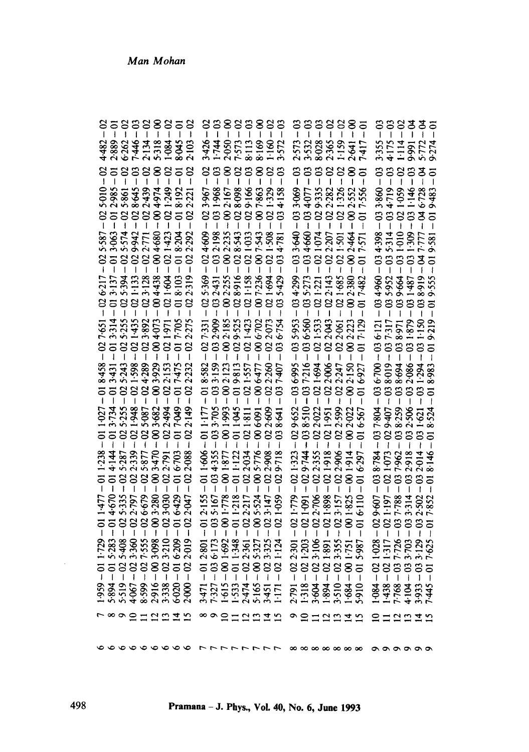| $-02$<br>$\overline{6}$<br>4.482<br>2.889<br>$-02$<br>$\begin{array}{r} -0.5000 \\ -0.2985 \\ -0.3985 \\ -0.298645 \\ -0.298645 \\ -0.298645 \\ -0.2986497 \\ -0.2994974 \\ -0.2994974 \\ -0.2994974 \\ -0.2994974 \\ -0.2994974 \\ -0.2994974 \\ -0.2994974 \\ -0.2994974 \\ -0.2994974 \\ -0.2994974 \\ -0.2994974 \\ -0.2994974 \\ -0.2994974 \\ -0.29$<br>$-0.25587$<br>$-0.3563$<br>$-0.35574$<br>$-0.25574$<br>$-0.25574$<br>$-0.25771$<br>$-0.25771$<br>$-026217$<br>$+013.137$<br>$+013.394$<br>$-025.394$<br>$-025.135$<br>$-023.128$<br>$-023.128$<br>7.651<br>3.314<br>$rac{1}{6}$<br>$7 - 018438$<br>$4 + 013431$<br>$5 - 025243$<br>$5 - 025243$<br>$7 - 025243$<br>$7 - 024589$<br>$7 - 034289$<br>$7 - 03929$<br>$7 - 022153$<br>$3 - 011027$<br>$1 - 013734$<br>$- 0253535$<br>$- 0215935$<br>$- 0215935$<br>$- 025987$<br>$- 035987$<br>$- 0.5987$<br>$- 0.5987$<br>$59 - 011 - 729 - 011 - 477 - 011 - 238 - 94 - 015 - 838 - 104 - 670 - 014 + 14 - 19 - 025 - 408 - 025 - 335 - 025 - 237 - 537 - 402 - 356 - 022 - 797 - 022 - 339 - 99 - 027 - 535 - 025 - 025 - 877 - 16 - 003 - 908 - 003 - 200 - 003 - 470 - 88 - 023 - 1210 - 023 - 0$ | $888885$<br>$6.362$<br>$7.446$<br>$2.138$<br>$7.318$<br>$7.318$<br>$7.318$<br>888<br>$3 - 025.255 - 25.255 - 25.255 - 25.3922 - 25.3922 - 25.3922 - 25.3922 - 25.3922 - 25.3922 - 25.3922 - 25.3922 - 25.3922 - 25.3922 - 25.3922 - 25.3922 - 25.3922 - 25.3922 - 25.3922 - 25.3922 - 25.3922 - 25.3922 - 25.3922 - 25.3922 - 25.3922 - 25.$ |                   | 88<br>$-021-423$<br>1.604<br>1.971<br>$-021$ | 8.045<br>ఠ<br>8.192<br>$\overline{5}$<br>8.204<br>$-6$<br>$-018103$<br>$-017.705$<br>$-017475$<br>7.049<br>$\overline{5}$ | $-02$<br>2.103<br>$-02$<br>2.088<br>$-02$<br>2.047<br>$\infty$<br>$-02$ | $-02$<br>$-02$<br>3.967<br>8<br>$\mathbf{f}$ | 388338<br>3426<br>179571<br>1796<br>1796<br>1796<br>$-031.968 -$ $-02167 -$ $-028.998 -$ $-028.998 -$ $-029.166 -$ $-029.326$<br>$82 - 02 7:331 - 02 5:369 - 02 4:609 -\n59 - 03 2:909 - 03 2:431 - 03 2:198 -\n23 - 00 2:185 - 00 2:255 - 00 2:235 -\n13 - 02 9:525 - 02 8:916 - 02 8:543 -\n57 - 02 1:423 - 02 1:158 - 02 1:033 -$<br>$6 - 01$ 1:177 – 01 8:582<br>$-5 - 03$ 3:705 – 03 3:139<br>$-7 - 00$ 1:993 – 00 2:123<br>$-2 - 01$ 1:045 – 01 9:813<br>$-4 - 02$ 1:811 – 02 1:557<br>$-6 - 00$ 6:091 – 00 6:477<br>$-1.466$<br>$-1.435$<br>$-0.3435$<br>$-0.1437$<br>$-0.1437$<br>$-0.2434$<br>$-0.2434$<br>$-0.2434$<br>$1 - 012.155$<br>$3 - 035.167$<br>$2 - 001.778$<br>$3 - 011.218$<br>$1 - 022.217$<br>$1 - 025.324$<br>$-1012801$<br>$-1036.173$<br>$-001.692$<br>$-1011.348$<br>$-10122.361$<br>$-1022.361$ | 883                          | 8<br>$-007.543$<br>$-021.508$<br>$-007.236$<br>$-006.702$<br>$-022.073$ | $\frac{1}{2}$<br>$\mathbf{S}$<br>$-021.694$<br>$-027$<br>2.609<br>$-03$<br>2.908<br>9.718<br>$-02$<br>$-023.147$<br>3.325<br>$\frac{1}{1}$ | $\frac{3}{1}$<br>572<br>4.158<br>4.781<br>$035-429$<br>$-03$ | $-03$<br>ප<br>3.069<br>$-03$<br>$-033.640$<br>$-034.299$<br>$-0.35953$<br>$-0.36550$<br>$-021.779$ | $\ddot{\circ}$<br>I | $-035:273$<br>$-021:221$<br>$-022:143$<br>$1 - 02$ 1:533<br>$-02$ 2:043 | $\begin{array}{cccc}\n 33885 \\  111111\n \end{array}$<br>2573<br>2538885417<br>2538825417<br>388<br>Ī<br>$3 - 034660 - 034077 -$<br>$1 - 021074 - 029335 -$<br>$3 - 02207 - 022282 -$<br>$5 - 021501 - 021326 -$<br>$0 - 002464 - 002552 -$<br>$0 - 002464 - 002552 -$<br>$-021.685$<br>$-022061$<br>$3 - 029.652 - 036.995 -$<br>$4 - 038.510 - 037.216 -$<br>$5 - 022.022 - 021.694 -$<br>$8 - 021.951 - 022.006 -$<br>$6 - 022.599 - 022.247 -$<br>$-021:323$<br>$-029.744$<br>$-022.355$<br>$-02.355$<br>$-02.396$<br>$-102.396$<br>$3 - 021.091 - 029$<br>$6 - 022.706 - 022$<br>$1 - 021.898 - 021.4$<br>$5 - 023.157 - 022.4$<br>$1 - 001.825 - 001.4$<br>$-022301$<br>$-021203$<br>$-023106$<br>$-021801$<br>$-023355$ | 8<br>$1 - 00 \frac{1}{2} \frac{1001}{7 \cdot 100} - 0$<br>2.150<br>$-0022$<br>1914<br>6297<br>1.751<br>5.987<br>$-60$ | $\overline{5}$<br>$x - 002380 -$<br>$- 017480 -$<br>7.482<br>$-0.8$<br>$\overline{q}$<br>$\overline{5}$<br>$\overline{0}$<br>$\overline{a}$ | $-63$<br>ຶ່<br>$-034.398$ | 3833<br>$-0.14$<br>$-0.16$<br>$-0.16$<br>$-0.16$<br>$-0.16$<br>$-0.16$<br>$-0.16$<br>$-0.16$<br>$-0.16$<br>$-0.16$<br>$-0.16$<br>$-0.16$<br>$-0.16$<br>$-0.16$<br>$-0.16$<br>$-0.16$<br>$-0.16$<br>$-0.16$<br>$-0.16$<br>$-0.16$<br>$-0.16$<br>$-0.16$<br>$-0.16$<br>$-0.16$<br>$-0.1$<br>$1 - 034960$<br>$7 - 035952$<br>$1 - 039664$<br>$1 - 039664$<br>$1 - 031487$<br>$- 031487$<br>$-0.036 - 121$<br>$-0.37 - 317$<br>$+ -0.38971$<br>$+ -0.3169$<br>$+ -0.3169$<br>$4 - 037804 - 036700 -$<br>$3 - 029407 - 03809 -$<br>$2 - 038259 - 038694 -$<br>$8 - 032506 - 032066 -$<br>$8 - 032506 - 032066 -$ | 33335<br>3.355<br>4.175<br>4.114<br>4.1772<br>5.274<br>$\overline{0}$<br>$+033860$<br>$+1034719$<br>$+034719$<br>$-021.059$<br>$-046$<br>$-046728$<br>$-046728$<br>$-046728$<br>9.581<br>9.219<br>$7 - 029.607 - 038.784 - 7 - 021.979 - 021.079 - 021.079 - 021.079 - 037.962 - 037.962 - 037.962 - 032.914 - 032.918 - 032.918 - 032.918 - 032.918 - 032.914 - 033.914 - 033.914 - 033.914 - 033.914 - 033.914 - 033.914 - 033.914 - 033.914 - 033.914$<br>$1 - 021.028$<br>$1 - 021.317$<br>$1 - 021.7726$<br>$1 - 033.703$<br>$1 - 033.129$<br>$1 - 037.625$<br>$1 - 017.625$ |  |
|------------------------------------------------------------------------------------------------------------------------------------------------------------------------------------------------------------------------------------------------------------------------------------------------------------------------------------------------------------------------------------------------------------------------------------------------------------------------------------------------------------------------------------------------------------------------------------------------------------------------------------------------------------------------------------------------------------------------------------------------------------------------------------------------------------------------------------------------------------------------------------------------------------------------------------------------------------------------------------------------------------------------------------------------------------------------------------------------------------------------------------------------------------------|----------------------------------------------------------------------------------------------------------------------------------------------------------------------------------------------------------------------------------------------------------------------------------------------------------------------------------------------|-------------------|----------------------------------------------|---------------------------------------------------------------------------------------------------------------------------|-------------------------------------------------------------------------|----------------------------------------------|------------------------------------------------------------------------------------------------------------------------------------------------------------------------------------------------------------------------------------------------------------------------------------------------------------------------------------------------------------------------------------------------------------------------------------------------------------------------------------------------------------------------------------------------------------------------------------------------------------------------------------------------------------------------------------------------------------------------------------------------------------------------------------------------------------------------------|------------------------------|-------------------------------------------------------------------------|--------------------------------------------------------------------------------------------------------------------------------------------|--------------------------------------------------------------|----------------------------------------------------------------------------------------------------|---------------------|-------------------------------------------------------------------------|---------------------------------------------------------------------------------------------------------------------------------------------------------------------------------------------------------------------------------------------------------------------------------------------------------------------------------------------------------------------------------------------------------------------------------------------------------------------------------------------------------------------------------------------------------------------------------------------------------------------------------------------------------------------------------------------------------------------------------|-----------------------------------------------------------------------------------------------------------------------|---------------------------------------------------------------------------------------------------------------------------------------------|---------------------------|-------------------------------------------------------------------------------------------------------------------------------------------------------------------------------------------------------------------------------------------------------------------------------------------------------------------------------------------------------------------------------------------------------------------------------------------------------------------------------------------------------------------------------------------------------------------------------------------------------------|-----------------------------------------------------------------------------------------------------------------------------------------------------------------------------------------------------------------------------------------------------------------------------------------------------------------------------------------------------------------------------------------------------------------------------------------------------------------------------------------------------------------------------------------------------------------------------------|--|
|                                                                                                                                                                                                                                                                                                                                                                                                                                                                                                                                                                                                                                                                                                                                                                                                                                                                                                                                                                                                                                                                                                                                                                  |                                                                                                                                                                                                                                                                                                                                              |                   |                                              |                                                                                                                           |                                                                         | 3.471                                        |                                                                                                                                                                                                                                                                                                                                                                                                                                                                                                                                                                                                                                                                                                                                                                                                                              | 1615<br>1533<br>2474<br>5451 |                                                                         |                                                                                                                                            |                                                              |                                                                                                    |                     |                                                                         | 2.791<br>1.318<br>1.894<br>3.510                                                                                                                                                                                                                                                                                                                                                                                                                                                                                                                                                                                                                                                                                                | 1.684<br>5.910                                                                                                        |                                                                                                                                             |                           |                                                                                                                                                                                                                                                                                                                                                                                                                                                                                                                                                                                                             |                                                                                                                                                                                                                                                                                                                                                                                                                                                                                                                                                                                   |  |
| 7890                                                                                                                                                                                                                                                                                                                                                                                                                                                                                                                                                                                                                                                                                                                                                                                                                                                                                                                                                                                                                                                                                                                                                             |                                                                                                                                                                                                                                                                                                                                              | $\Xi$ $\Xi$ $\Xi$ |                                              |                                                                                                                           |                                                                         |                                              | ∞๑๐襤¤                                                                                                                                                                                                                                                                                                                                                                                                                                                                                                                                                                                                                                                                                                                                                                                                                        |                              |                                                                         |                                                                                                                                            |                                                              |                                                                                                    |                     |                                                                         |                                                                                                                                                                                                                                                                                                                                                                                                                                                                                                                                                                                                                                                                                                                                 |                                                                                                                       |                                                                                                                                             |                           |                                                                                                                                                                                                                                                                                                                                                                                                                                                                                                                                                                                                             |                                                                                                                                                                                                                                                                                                                                                                                                                                                                                                                                                                                   |  |
|                                                                                                                                                                                                                                                                                                                                                                                                                                                                                                                                                                                                                                                                                                                                                                                                                                                                                                                                                                                                                                                                                                                                                                  |                                                                                                                                                                                                                                                                                                                                              |                   |                                              |                                                                                                                           |                                                                         |                                              |                                                                                                                                                                                                                                                                                                                                                                                                                                                                                                                                                                                                                                                                                                                                                                                                                              |                              |                                                                         |                                                                                                                                            |                                                              |                                                                                                    |                     |                                                                         |                                                                                                                                                                                                                                                                                                                                                                                                                                                                                                                                                                                                                                                                                                                                 |                                                                                                                       |                                                                                                                                             |                           |                                                                                                                                                                                                                                                                                                                                                                                                                                                                                                                                                                                                             |                                                                                                                                                                                                                                                                                                                                                                                                                                                                                                                                                                                   |  |

 $\hat{\boldsymbol{\beta}}$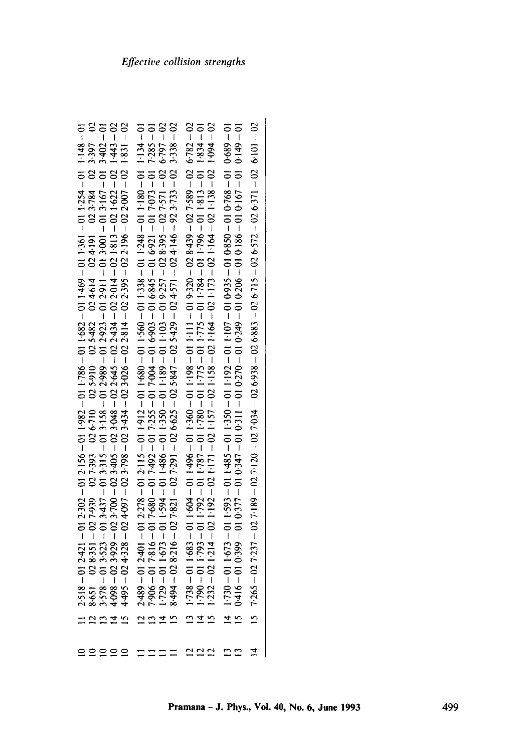| $202\overline{7}265 - 02\overline{7}277 - 02\overline{7}189 - 02\overline{7}1793 - 02\overline{7}4938 - 026\overline{7}6938 - 026\overline{7}15 - 026\overline{7}15 - 026\overline{7}22 - 026\overline{7}11 - 026\overline{7}101 - 020\overline{7}101 - 020\overline{7}101 - 020\overline{7}101 - 020\overline{7}101 - 020\overline{7}101 - 0$<br>$\frac{5}{2}$               | Ā |  |
|-------------------------------------------------------------------------------------------------------------------------------------------------------------------------------------------------------------------------------------------------------------------------------------------------------------------------------------------------------------------------------|---|--|
| 10 − 689−0 10 − 890−0 10 − 958−0 10 − 556−0 10 − 101−1 10 − 101−1 10 − 105−1 10 − 565−1 10 − 655−1 10 − 655−1 10 − 655−1 10 − 655−1 10 − 655−1 10 − 655−1 10 − 655−1 10 − 655−1 10 − 655−1 10 − 655−1 10 − 655−1 10 − 655−1<br>10 - 6t 10 - 10 - 191 0 10 - 981 0 10 - 902 0 10 - 6t2 0 10 - 0L2 0 10 - 11 r.0 10 - 14r.0 10 - 14r.0 10 - 66r.0 10 - 91 t-0<br>$\vec{a}$<br>≌ |   |  |
| $1738 - 011683 - 011604 - 011496 - 011198 - 011111 - 011919 - 038439 - 027589 - 026782 - 02$                                                                                                                                                                                                                                                                                  |   |  |
| $1.729 - 011.673 - 011.594 - 011.486 - 011.36 - 011.189 - 011.103 - 019.257 - 028.395 - 027.571 - 026.797 - 028.394 - 028.316 - 027.821 - 027.629 - 026.625 - 025.847 - 025.429 - 024.571 - 024.146 - 923.733 - 023.338 - 025.429 - 023.5733 - 023.57$                                                                                                                        |   |  |
| IO + τς Ι + 1 Ο − 08 Τ + 1 Ο − 8 τς 1 Ο − 8 τς 1 Ο − 09 Σ + 1 Ο − 099 -1 Ο − 21 Σ + 1 Ο − 8 Σ Σ 2 Ο − 1 Ο τ 4 Σ 1 Ο − 08 Τ 2 Ο − 4 Σ Τ Σ<br>$\bar{\omega}$                                                                                                                                                                                                                    |   |  |
| $20 - 87$ $- 20 - 22$ $- 20 - 80$ $- 20 - 8$ $- 20 - 87$ $- 20 - 87$ $- 20 - 87$ $- 20 - 89$ $- 20 - 80$ $- 20 - 80$ $- 20 - 80$ $- 20 - 80$ $- 20 - 80$                                                                                                                                                                                                                      |   |  |
|                                                                                                                                                                                                                                                                                                                                                                               |   |  |
| $2.518 - 01$ $2.421 - 01$ $2.302 - 01$ $2.156 - 01$ $1.982 - 01$ $1.786 - 01$ $1.469 - 01$ $1.361 - 01$ $1.254 - 01$ $1.148 - 01$<br>8.651 - 02 8.351 - 02 7.939 - 02 7.393 - 02 6.710 - 02 5.910 - 02 5.482 - 02 4.614 - 02 4.191 - 02 3.                                                                                                                                    |   |  |
|                                                                                                                                                                                                                                                                                                                                                                               |   |  |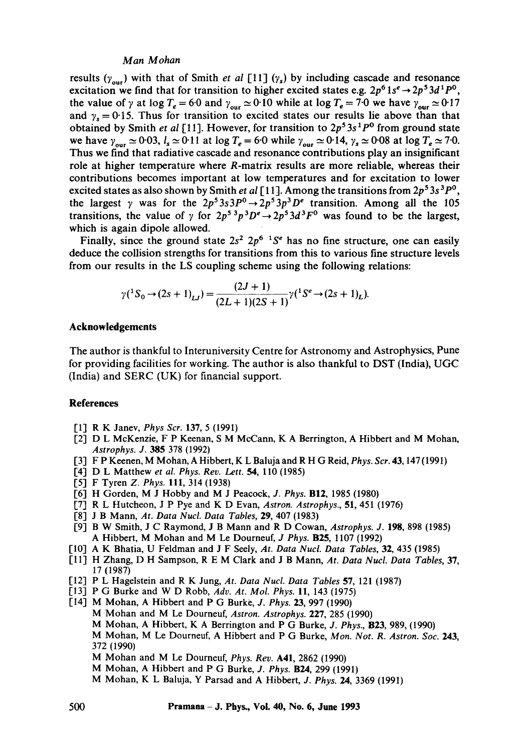## *Man Mohan*

results  $(y_{\text{out}})$  with that of Smith *et al* [11]  $(y_s)$  by including cascade and resonance excitation we find that for transition to higher excited states e.g.  $2p^6 1s^e \rightarrow 2p^5 3d^1 P^0$ , the value of  $\gamma$  at log  $T_e = 6.0$  and  $\gamma_{\text{our}} \approx 0.10$  while at log  $T_e = 7.0$  we have  $\gamma_{\text{our}} \approx 0.17$ and  $\gamma_s = 0.15$ . Thus for transition to excited states our results lie above than that obtained by Smith *et al* [11]. However, for transition to  $2p^5 3s^1 P^0$  from ground state we have  $\gamma_{\text{our}} \simeq 0.03$ ,  $l_s \simeq 0.11$  at log  $T_e = 6.0$  while  $\gamma_{\text{our}} \simeq 0.14$ ,  $\gamma_s \simeq 0.08$  at log  $T_e \simeq 7.0$ . Thus we find that radiative cascade and resonance contributions play an insignificant role at higher temperature where R-matrix results are more reliable, whereas their contributions becomes important at low temperatures and for excitation to lower excited states as also shown by Smith *et al* [11]. Among the transitions from  $2p^53s^3P^{\circ}$ , the largest  $\gamma$  was for the  $2p^53s^3P^0 \rightarrow 2p^53p^3D^e$  transition. Among all the 105 transitions, the value of  $\gamma$  for  $2p^5$ <sup>3</sup> $p^3D^e \rightarrow 2p^53d^3F^0$  was found to be the largest, which is again dipole allowed.

Finally, since the ground state  $2s^2 2p^6$  <sup>1</sup>S<sup>e</sup> has no fine structure, one can easily deduce the collision strengths for transitions from this to various fine structure levels from our results in the LS coupling scheme using the following relations:

$$
\gamma({}^{1}S_{0} \rightarrow (2s+1)_{LJ}) = \frac{(2J+1)}{(2L+1)(2S+1)} \gamma({}^{1}S^{e} \rightarrow (2s+1)_{L}).
$$

#### **Acknowledgements**

The author is thankful to Interuniversity Centre for Astronomy and Astrophysics, Pune for providing facilities for working. The author is also thankful to DST (India), UGC (India) and SERC (UK) for financial support.

#### **References**

- [1] R K Janev, *Phys Scr.* 137, 5 (1991)
- [2] D L McKenzie, F P Keenan, S M McCann, K A Berrington, A Hibbert and M Mohan, *Astrophys. J.* 385 378 (1992)
- [3] F P Keenen, M Mohan, A Hibbert, K L Baluja and R H G Reid, *Phys. Scr.* 43, 147 (1991)
- [4] D L Matthew *et al. Phys. Rev. Lett.* 54, 110 (1985)
- [5] F Tyren *Z. Phys.* 111, 314 (1938)
- [6] H Gorden, M J Hobby and M J Peacock, *J. Phys.* BI2, 1985 (1980)
- [7] R L Hutcheon, J P Pye and K D Evan, *Astron. Astrophys.,* 51, 451 (1976)
- [8] J B Mann, *At. Data Nucl. Data Tables,* 29, 407 (1983)
- [9] B W Smith, J C Raymond, J B Mann and R D Cowan, *Astrophys. J.* 198, 898 (1985) A Hibbert, M Mohan and M Le Dourneuf, *J Phys.* B25, 1107 (1992)
- [10] A K Bhatia, U Feldman and J F Seely, *At. Data Nucl. Data Tables,* 32, 435 (1985)
- [11] H Zhang, D H Sampson, R E M Clark and J B Mann, *At. Data Nucl. Data Tables,* 37, 17 (1987)
- [12] P L Hagelstein and R K Jung, *At. Data Nucl. Data Tables* 57, 121 (1987)
- [13-1 P G Burke and W D Robb, *Adv. At. Mol. Phys.* 11, 143 (1975)
- [14] M Mohan, A Hibbert and P G Burke, *J. Phys.* 23, 997 (1990) M Mohan and M Le Dourneuf, *Astron. Astrophys.* 227, 285 (1990) M Mohan, A Hibbert, K A Berrington and P G Burke, *J. Phys.,* B23, 989, (1990) M Mohan, M Le Dourneuf, A Hibbert and P G Burke, *Mon. Not. R. Astron. Soc.* 243, 372 (1990)
	- M Mohan and M Le Dourneuf, *Phys. Rev.* A41, 2862 (1990)
	- M Mohan, A Hibbert and P G Burke, *J. Phys.* B24, 299 (1991)
	- M Mohan, K L Baluja, Y Parsad and A Hibbert, *J. Phys.* 24, 3369 (1991)